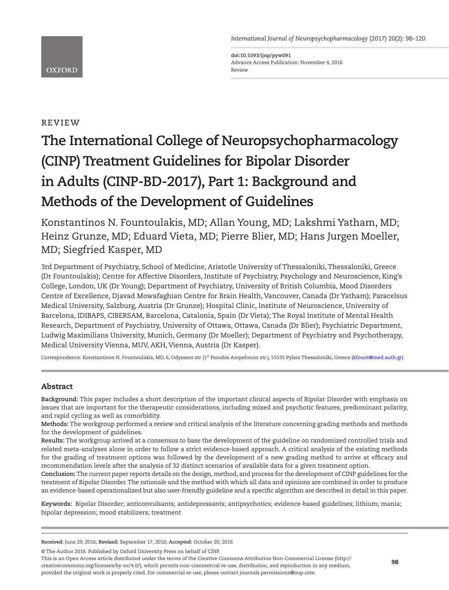*International Journal of Neuropsychopharmacology* (2017) 20(2): 98–120

**doi:10.1093/ijnp/pyw091** Advance Access Publication: November 4, 2016 Review

# **OXFORD**

# review

# **The International College of Neuropsychopharmacology (CINP) Treatment Guidelines for Bipolar Disorder in Adults (CINP-BD-2017), Part 1: Background and Methods of the Development of Guidelines**

Konstantinos N. Fountoulakis, MD; Allan Young, MD; Lakshmi Yatham, MD; Heinz Grunze, MD; Eduard Vieta, MD; Pierre Blier, MD; Hans Jurgen Moeller, MD; Siegfried Kasper, MD

3rd Department of Psychiatry, School of Medicine, Aristotle University of Thessaloniki, Thessaloniki, Greece (Dr Fountoulakis); Centre for Affective Disorders, Institute of Psychiatry, Psychology and Neuroscience, King's College, London, UK (Dr Young); Department of Psychiatry, University of British Columbia, Mood Disorders Centre of Excellence, Djavad Mowafaghian Centre for Brain Health, Vancouver, Canada (Dr Yatham); Paracelsus Medical University, Salzburg, Austria (Dr Grunze); Hospital Clinic, Institute of Neuroscience, University of Barcelona, IDIBAPS, CIBERSAM, Barcelona, Catalonia, Spain (Dr Vieta); The Royal Institute of Mental Health Research, Department of Psychiatry, University of Ottawa, Ottawa, Canada (Dr Blier); Psychiatric Department, Ludwig Maximilians University, Munich, Germany (Dr Moeller); Department of Psychiatry and Psychotherapy, Medical University Vienna, MUV, AKH, Vienna, Austria (Dr Kasper).

Correspondence: Konstantinos N. Fountoulakis, MD, 6, Odysseos str (1st Parodos Ampelonon str.), 55535 Pylaia Thessaloniki, Greece [\(kfount@med.auth.gr](mailto:kfount@med.auth.gr?subject=)).

## Abstract

**Background:** This paper includes a short description of the important clinical aspects of Bipolar Disorder with emphasis on issues that are important for the therapeutic considerations, including mixed and psychotic features, predominant polarity, and rapid cycling as well as comorbidity.

**Methods:** The workgroup performed a review and critical analysis of the literature concerning grading methods and methods for the development of guidelines.

**Results:** The workgroup arrived at a consensus to base the development of the guideline on randomized controlled trials and related meta-analyses alone in order to follow a strict evidence-based approach. A critical analysis of the existing methods for the grading of treatment options was followed by the development of a new grading method to arrive at efficacy and recommendation levels after the analysis of 32 distinct scenarios of available data for a given treatment option.

**Conclusion:** The current paper reports details on the design, method, and process for the development of CINP guidelines for the treatment of Bipolar Disorder. The rationale and the method with which all data and opinions are combined in order to produce an evidence-based operationalized but also user-friendly guideline and a specific algorithm are described in detail in this paper.

**Keywords:** Bipolar Disorder; anticonvulsants; antidepressants; antipsychotics; evidence-based guidelines; lithium; mania; bipolar depression; mood stabilizers; treatment

**Received:** June 29, 2016; **Revised:** September 17, 2016; **Accepted:** October 20, 2016

© The Author 2016. Published by Oxford University Press on behalf of CINP.

<sup>98</sup> This is an Open Access article distributed under the terms of the Creative Commons Attribution Non-Commercial License (http:// creativecommons.org/licenses/by-nc/4.0/), which permits non-commercial re-use, distribution, and reproduction in any medium, provided the original work is properly cited. For commercial re-use, please contact journals.permissions@oup.com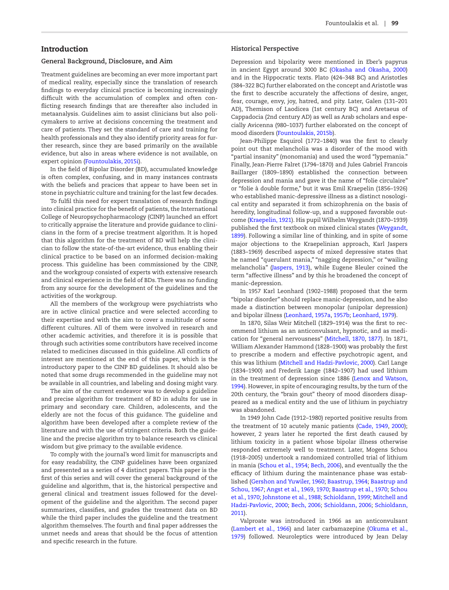## Introduction

## **General Background, Disclosure, and Aim**

Treatment guidelines are becoming an ever more important part of medical reality, especially since the translation of research findings to everyday clinical practice is becoming increasingly difficult with the accumulation of complex and often conflicting research findings that are thereafter also included in metaanalysis. Guidelines aim to assist clinicians but also policymakers to arrive at decisions concerning the treatment and care of patients. They set the standard of care and training for health professionals and they also identify priority areas for further research, since they are based primarily on the available evidence, but also in areas where evidence is not available, on expert opinion [\(Fountoulakis, 2015i\)](#page-16-0).

In the field of Bipolar Disorder (BD), accumulated knowledge is often complex, confusing, and in many instances contrasts with the beliefs and pracices that appear to have been set in stone in psychiatric culture and training for the last few decades.

To fulfil this need for expert translation of research findings into clinical practice for the benefit of patients, the International College of Neuropsychopharmacology (CINP) launched an effort to critically appraise the literature and provide guidance to clinicians in the form of a precise treatment algorithm. It is hoped that this algorithm for the treatment of BD will help the clinician to follow the state-of-the-art evidence, thus enabling their clinical practice to be based on an informed decision-making process. This guideline has been commissioned by the CINP, and the workgroup consisted of experts with extensive research and clinical experience in the field of BDs. There was no funding from any source for the development of the guidelines and the activities of the workgroup.

All the members of the workgroup were psychiatrists who are in active clinical practice and were selected according to their expertise and with the aim to cover a multitude of some different cultures. All of them were involved in research and other academic activities, and therefore it is is possible that through such activities some contributors have received income related to medicines discussed in this guideline. All conflicts of interest are mentioned at the end of this paper, which is the introductory paper to the CINP BD guidelines. It should also be noted that some drugs recommended in the guideline may not be available in all countries, and labeling and dosing might vary.

The aim of the current endeavor was to develop a guideline and precise algorithm for treatment of BD in adults for use in primary and secondary care. Children, adolescents, and the elderly are not the focus of this guidance. The guideline and algorithm have been developed after a complete review of the literature and with the use of stringent criteria. Both the guideline and the precise algorithm try to balance research vs clinical wisdom but give primacy to the available evidence.

To comply with the journal's word limit for manuscripts and for easy readability, the CINP guidelines have been organized and presented as a series of 4 distinct papers. This paper is the first of this series and will cover the general background of the guideline and algorithm, that is, the historical perspective and general clinical and treatment issues followed for the development of the guideline and the algorithm. The second paper summarizes, classifies, and grades the treatment data on BD while the third paper includes the guideline and the treatment algorithm themselves. The fourth and final paper addresses the unmet needs and areas that should be the focus of attention and specific research in the future.

#### **Historical Perspective**

Depression and bipolarity were mentioned in Eber's papyrus in ancient Egypt around 3000 BC ([Okasha and Okasha, 2000](#page-20-0)) and in the Hippocratic texts. Plato (424–348 BC) and Aristotles (384–322 BC) further elaborated on the concept and Aristotle was the first to describe accurately the affections of desire, anger, fear, courage, envy, joy, hatred, and pity. Later, Galen (131–201 AD), Themison of Laodicea (1st century BC) and Aretaeus of Cappadocia (2nd century AD) as well as Arab scholars and especially Avicenna (980–1037) further elaborated on the concept of mood disorders [\(Fountoulakis, 2015b](#page-15-0)).

Jean-Philippe Esquirol (1772–1840) was the first to clearly point out that melancholia was a disorder of the mood with "partial insanity" (monomania) and used the word "lypemania." Finally, Jean-Pierre Falret (1794–1870) and Jules Gabriel Francois Baillarger (1809–1890) established the connection between depression and mania and gave it the name of "folie circulaire" or "folie à double forme," but it was Emil Kraepelin (1856–1926) who established manic-depressive illness as a distinct nosological entity and separated it from schizophrenia on the basis of heredity, longitudinal follow-up, and a supposed favorable outcome ([Kraepelin, 1921\)](#page-18-0). His pupil Wilhelm Weygandt (1870–1939) published the first textbook on mixed clinical states ([Weygandt,](#page-22-0)  [1899](#page-22-0)). Following a similar line of thinking, and in spite of some major objections to the Kraepelinian approach, Karl Jaspers (1883–1969) described aspects of mixed depressive states that he named "querulant mania," "nagging depression," or "wailing melancholia" ([Jaspers, 1913](#page-17-0)), while Eugene Bleuler coined the term "affective illness" and by this he broadened the concept of manic-depression.

In 1957 Karl Leonhard (1902–1988) proposed that the term "bipolar disorder" should replace manic-depression, and he also made a distinction between monopolar (unipolar depression) and bipolar illness ([Leonhard, 1957a,](#page-19-0) [1957b;](#page-19-1) [Leonhard, 1979](#page-19-2)).

In 1870, Silas Weir Mitchell (1829–1914) was the first to recommend lithium as an anticonvulsant, hypnotic, and as medication for "general nervousness" ([Mitchell, 1870,](#page-19-3) [1877](#page-19-4)). In 1871, William Alexander Hammond (1828–1900) was probably the first to prescribe a modern and effective psychotropic agent, and this was lithium ([Mitchell and Hadzi-Pavlovic, 2000\)](#page-19-5). Carl Lange (1834–1900) and Frederik Lange (1842–1907) had used lithium in the treatment of depression since 1886 [\(Lenox and Watson,](#page-19-6)  [1994](#page-19-6)). However, in spite of encouraging results, by the turn of the 20th century, the "brain gout" theory of mood disorders disappeared as a medical entity and the use of lithium in psychiatry was abandoned.

In 1949 John Cade (1912–1980) reported positive results from the treatment of 10 acutely manic patients ([Cade, 1949,](#page-14-0) [2000](#page-14-1)); however, 2 years later he reported the first death caused by lithium toxicity in a patient whose bipolar illness otherwise responded extremely well to treatment. Later, Mogens Schou (1918–2005) undertook a randomized controlled trial of lithium in mania [\(Schou et al., 1954](#page-21-0); [Bech, 2006\)](#page-14-2), and eventually the the efficacy of lithium during the maintenance phase was established [\(Gershon and Yuwiler, 1960](#page-16-1); [Baastrup, 1964;](#page-14-3) [Baastrup and](#page-14-4)  [Schou, 1967;](#page-14-4) [Angst et al., 1969,](#page-14-5) [1970](#page-14-6); [Baastrup et al., 1970; Schou](#page-14-6)  [et al., 1970;](#page-14-6) [Johnstone et al., 1988](#page-18-1); [Schioldann, 1999](#page-21-1); [Mitchell and](#page-19-5)  [Hadzi-Pavlovic, 2000;](#page-19-5) [Bech, 2006](#page-14-2); [Schioldann, 2006;](#page-21-2) [Schioldann,](#page-21-3)  [2011](#page-21-3)).

Valproate was introduced in 1966 as an anticonvulsant [\(Lambert et al., 1966](#page-18-2)) and later carbamazepine [\(Okuma et al.,](#page-20-1)  [1979](#page-20-1)) followed. Neuroleptics were introduced by Jean Delay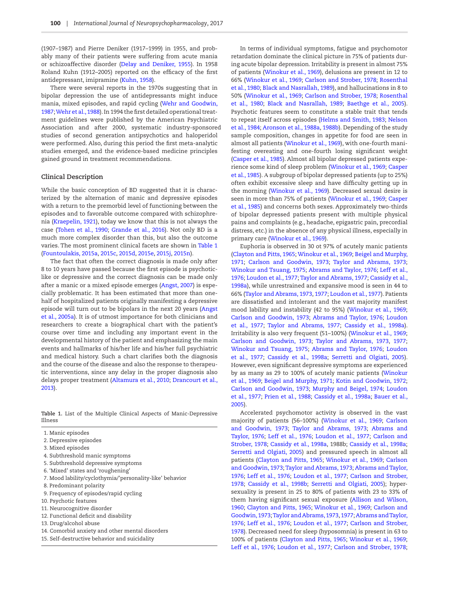(1907–1987) and Pierre Deniker (1917–1999) in 1955, and probably many of their patients were suffering from acute mania or schizoaffective disorder ([Delay and Deniker, 1955](#page-15-1)). In 1958 Roland Kuhn (1912–2005) reported on the efficacy of the first antidepressant, imipramine [\(Kuhn, 1958\)](#page-18-3).

There were several reports in the 1970s suggesting that in bipolar depression the use of antidepressants might induce mania, mixed episodes, and rapid cycling ([Wehr and Goodwin,](#page-22-1)  [1987](#page-22-1); [Wehr et al., 1988](#page-22-2)). In 1994 the first detailed operational treatment guidelines were published by the American Psychiatric Association and after 2000, systematic industry-sponsored studies of second generation antipsychotics and haloperidol were performed. Also, during this period the first meta-analytic studies emerged, and the evidence-based medicine principles gained ground in treatment recommendations.

## **Clinical Description**

While the basic conception of BD suggested that it is characterized by the alternation of manic and depressive episodes with a return to the premorbid level of functioning between the episodes and to favorable outcome compared with schizophrenia [\(Kraepelin, 1921](#page-18-0)), today we know that this is not always the case [\(Tohen et al., 1990;](#page-21-4) [Grande et al., 2016\)](#page-16-2). Not only BD is a much more complex disorder than this, but also the outcome varies. The most prominent clinical facets are shown in [Table 1](#page-2-0) ([Fountoulakis, 2015a,](#page-15-2) [2015c](#page-15-3), [2015d](#page-16-3), [2015e,](#page-16-4) [2015j,](#page-16-5) [2015n](#page-16-6)).

The fact that often the correct diagnosis is made only after 8 to 10 years have passed because the first episode is psychoticlike or depressive and the correct diagnosis can be made only after a manic or a mixed episode emerges ([Angst, 2007\)](#page-14-7) is especially problematic. It has been estimated that more than onehalf of hospitalized patients originally manifesting a depressive episode will turn out to be bipolars in the next 20 years [\(Angst](#page-14-8)  [et al., 2005a](#page-14-8)). It is of utmost importance for both clinicians and researchers to create a biographical chart with the patient's course over time and including any important event in the developmental history of the patient and emphasizing the main events and hallmarks of his/her life and his/her full psychiatric and medical history. Such a chart clarifies both the diagnosis and the course of the disease and also the response to therapeutic interventions, since any delay in the proper diagnosis also delays proper treatment ([Altamura et al., 2010;](#page-13-0) [Drancourt et al.,](#page-15-4)  [2013](#page-15-4)).

<span id="page-2-0"></span>**Table 1.** List of the Multiple Clinical Aspects of Manic-Depressive Illness

- 1. Manic episodes
- 2. Depressive episodes
- 3. Mixed episodes
- 4. Subthreshold manic symptoms
- 5. Subthreshold depressive symptoms
- 6. 'Mixed' states and 'roughening'
- 7. Mood lability/cyclothymia/'personality-like' behavior
- 8. Predominant polarity
- 9. Frequency of episodes/rapid cycling
- 10. Psychotic features
- 11. Neurocognitive disorder
- 12. Functional deficit and disability
- 13. Drug/alcohol abuse
- 14. Comorbid anxiety and other mental disorders
- 15. Self-destructive behavior and suicidality

In terms of individual symptoms, fatigue and psychomotor retardation dominate the clinical picture in 75% of patients during acute bipolar depression. Irritability is present in almost 75% of patients [\(Winokur et al., 1969\)](#page-22-3), delusions are present in 12 to 66% [\(Winokur et al., 1969](#page-22-3); [Carlson and Strober, 1978](#page-15-5); [Rosenthal](#page-21-5)  [et al., 1980;](#page-21-5) [Black and Nasrallah, 1989\)](#page-14-9), and hallucinations in 8 to 50% [\(Winokur et al., 1969](#page-22-3); [Carlson and Strober, 1978](#page-15-5); [Rosenthal](#page-21-5)  [et al., 1980;](#page-21-5) [Black and Nasrallah, 1989;](#page-14-9) [Baethge et al., 2005](#page-14-10)). Psychotic features seem to constitute a stable trait that tends to repeat itself across episodes [\(Helms and Smith, 1983](#page-17-1); [Nelson](#page-20-2)  [et al., 1984;](#page-20-2) [Aronson et al., 1988a](#page-14-11), [1988b](#page-14-12)). Depending of the study sample composition, changes in appetite for food are seen in almost all patients [\(Winokur et al., 1969\)](#page-22-3), with one-fourth manifesting overeating and one-fourth losing significant weight ([Casper et al., 1985\)](#page-15-6). Almost all bipolar depressed patients experience some kind of sleep problem [\(Winokur et al., 1969](#page-22-3); [Casper](#page-15-6)  [et al., 1985](#page-15-6)). Α subgroup of bipolar depressed patients (up to 25%) often exhibit excessive sleep and have difficulty getting up in the morning ([Winokur et al., 1969](#page-22-3)). Decreased sexual desire is seen in more than 75% of patients ([Winokur et al., 1969;](#page-22-3) [Casper](#page-15-6)  [et al., 1985](#page-15-6)) and concerns both sexes. Approximately two-thirds of bipolar depressed patients present with multiple physical pains and complaints (e.g., headache, epigastric pain, precordial distress, etc.) in the absence of any physical illness, especially in primary care [\(Winokur et al., 1969\)](#page-22-3).

Euphoria is observed in 30 ot 97% of acutely manic patients ([Clayton and Pitts, 1965;](#page-15-7) [Winokur et al., 1969](#page-22-3); [Beigel and Murphy,](#page-14-13)  [1971](#page-14-13); [Carlson and Goodwin, 1973](#page-15-8); [Taylor and Abrams, 1973;](#page-21-6) [Winokur and Tsuang, 1975](#page-22-4); [Abrams and Taylor, 1976;](#page-13-1) [Leff et al.,](#page-19-7)  [1976](#page-19-7); [Loudon et al., 1977;](#page-19-8) [Taylor and Abrams, 1977](#page-21-7); [Cassidy et al.,](#page-15-9)  [1998a\)](#page-15-9), while unrestrained and expansive mood is seen in 44 to 66% [\(Taylor and Abrams, 1973](#page-21-6), [1977](#page-21-7); [Loudon et al., 1977](#page-19-8)). Patients are dissatisfied and intolerant and the vast majority manifest mood lability and instability (42 to 95%) ([Winokur et al., 1969;](#page-22-3) [Carlson and Goodwin, 1973;](#page-15-8) [Abrams and Taylor, 1976;](#page-13-1) [Loudon](#page-19-8)  [et al., 1977](#page-19-8); [Taylor and Abrams, 1977;](#page-21-7) [Cassidy et al., 1998a](#page-15-9)). Irritability is also very frequent (51–100%) ([Winokur et al., 1969;](#page-22-3) [Carlson and Goodwin, 1973](#page-15-8); [Taylor and Abrams, 1973,](#page-21-6) [1977;](#page-21-7) [Winokur and Tsuang, 1975](#page-22-4); [Abrams and Taylor, 1976](#page-13-1); [Loudon](#page-19-8)  [et al., 1977](#page-19-8); [Cassidy et al., 1998a](#page-15-9); [Serretti and Olgiati, 2005](#page-21-8)). However, even significant depressive symptoms are experienced by as many as 29 to 100% of acutely manic patients [\(Winokur](#page-22-3)  [et al., 1969](#page-22-3); [Beigel and Murphy, 1971](#page-14-13); [Kotin and Goodwin, 1972;](#page-18-4) [Carlson and Goodwin, 1973;](#page-15-8) [Murphy and Beigel, 1974;](#page-19-9) [Loudon](#page-19-8)  [et al., 1977](#page-19-8); [Prien et al., 1988](#page-20-3); [Cassidy et al., 1998a;](#page-15-9) [Bauer et al.,](#page-14-10)  [2005](#page-14-10)).

Accelerated psychomotor activity is observed in the vast majority of patients (56–100%) ([Winokur et al., 1969;](#page-22-3) [Carlson](#page-15-8)  [and Goodwin, 1973;](#page-15-8) [Taylor and Abrams, 1973](#page-21-6); [Abrams and](#page-13-1)  [Taylor, 1976;](#page-13-1) [Leff et al., 1976](#page-19-7); [Loudon et al., 1977](#page-19-8); [Carlson and](#page-15-5)  [Strober, 1978](#page-15-5); [Cassidy et al., 1998a,](#page-15-9) 1988b; [Cassidy et al., 1998a;](#page-15-9) [Serretti and Olgiati, 2005\)](#page-21-8) and pressured speech in almost all patients [\(Clayton and Pitts, 1965;](#page-15-7) [Winokur et al., 1969](#page-22-3); [Carlson](#page-15-8)  [and Goodwin, 1973](#page-15-8); [Taylor and Abrams, 1973](#page-21-6); [Abrams and Taylor,](#page-13-1)  [1976](#page-13-1); [Leff et al., 1976;](#page-19-7) [Loudon et al., 1977;](#page-19-8) [Carlson and Strober,](#page-15-5)  [1978](#page-15-5); [Cassidy et al., 1998b](#page-15-10); [Serretti and Olgiati, 2005\)](#page-21-8); hypersexuality is present in 25 to 80% of patients with 23 to 33% of them having significant sexual exposure ([Allison and Wilson,](#page-13-2)  [1960](#page-13-2); [Clayton and Pitts, 1965;](#page-15-7) [Winokur et al., 1969](#page-22-3); [Carlson and](#page-15-8)  [Goodwin, 1973](#page-15-8); [Taylor and Abrams, 1973](#page-21-6), [1977;](#page-21-7) [Abrams and Taylor,](#page-13-1)  [1976](#page-13-1); [Leff et al., 1976;](#page-19-7) [Loudon et al., 1977;](#page-19-8) [Carlson and Strober,](#page-15-5)  [1978](#page-15-5)). Decreased need for sleep (hyposomnia) is present in 63 to 100% of patients ([Clayton and Pitts, 1965](#page-15-7); [Winokur et al., 1969;](#page-22-3) [Leff et al., 1976](#page-19-7); [Loudon et al., 1977](#page-19-8); [Carlson and Strober, 1978;](#page-15-5)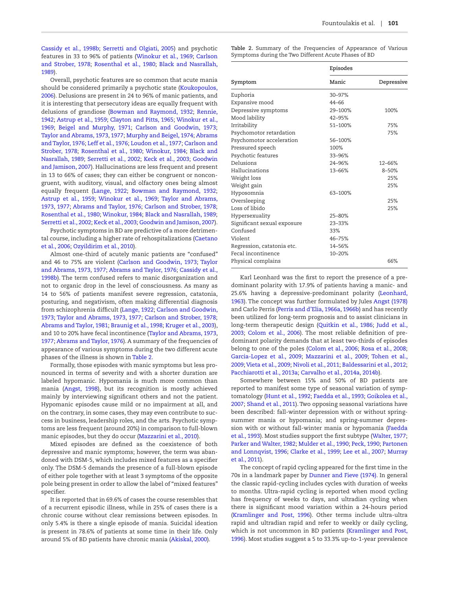[Cassidy et al., 1998b](#page-15-10); [Serretti and Olgiati, 2005\)](#page-21-8) and psychotic features in 33 to 96% of patients [\(Winokur et al., 1969;](#page-22-3) [Carlson](#page-15-5)  [and Strober, 1978;](#page-15-5) [Rosenthal et al., 1980](#page-21-5); [Black and Nasrallah,](#page-14-9)  [1989](#page-14-9)).

Overall, psychotic features are so common that acute mania should be considered primarily a psychotic state (Koukopoulos, [2006](#page-18-5)). Delusions are present in 24 to 96% of manic patients, and it is interesting that persecutory ideas are equally frequent with delusions of grandiose ([Bowman and Raymond, 1932;](#page-14-14) [Rennie,](#page-21-9)  [1942](#page-21-9); [Astrup et al., 1959;](#page-14-15) [Clayton and Pitts, 1965](#page-15-7); [Winokur et al.,](#page-22-3)  [1969](#page-22-3); [Beigel and Murphy, 1971;](#page-14-13) [Carlson and Goodwin, 1973;](#page-15-8) [Taylor and Abrams, 1973,](#page-21-6) [1977;](#page-21-7) [Murphy and Beigel, 1974](#page-19-9); [Abrams](#page-13-1)  [and Taylor, 1976](#page-13-1); [Leff et al., 1976;](#page-19-7) [Loudon et al., 1977;](#page-19-8) [Carlson and](#page-15-5)  [Strober, 1978;](#page-15-5) [Rosenthal et al., 1980](#page-21-5); [Winokur, 1984;](#page-22-5) [Black and](#page-14-9)  [Nasrallah, 1989](#page-14-9); [Serretti et al., 2002](#page-21-10); [Keck et al., 2003](#page-18-6); [Goodwin](#page-16-7)  [and Jamison, 2007](#page-16-7)). Hallucinations are less frequent and present in 13 to 66% of cases; they can either be congruent or noncongruent, with auditory, visual, and olfactory ones being almost equally frequent ([Lange, 1922](#page-18-7); [Bowman and Raymond, 1932;](#page-14-14) [Astrup et al., 1959](#page-14-15); [Winokur et al., 1969;](#page-22-3) [Taylor and Abrams,](#page-21-6)  [1973](#page-21-6), [1977](#page-21-7); [Abrams and Taylor, 1976](#page-13-1); [Carlson and Strober, 1978;](#page-15-5) [Rosenthal et al., 1980](#page-21-5); [Winokur, 1984](#page-22-5); [Black and Nasrallah, 1989;](#page-14-9) [Serretti et al., 2002;](#page-21-10) [Keck et al., 2003](#page-18-6); [Goodwin and Jamison, 2007](#page-16-7)).

Psychotic symptoms in BD are predictive of a more detrimental course, including a higher rate of rehospitalizations [\(Caetano](#page-14-16)  [et al., 2006](#page-14-16); [Ozyildirim et al., 2010\)](#page-20-4).

Almost one-third of acutely manic patients are "confused" and 46 to 75% are violent ([Carlson and Goodwin, 1973](#page-15-8); [Taylor](#page-21-6)  [and Abrams, 1973,](#page-21-6) [1977;](#page-21-7) [Abrams and Taylor, 1976](#page-13-1); [Cassidy et al.,](#page-15-10)  [1998b\)](#page-15-10). The term confused refers to manic disorganization and not to organic drop in the level of consciousness. As many as 14 to 56% of patients manifest severe regression, catatonia, posturing, and negativism, often making differential diagnosis from schizophrenia difficult [\(Lange, 1922;](#page-18-7) [Carlson and Goodwin,](#page-15-8)  [1973](#page-15-8); [Taylor and Abrams, 1973](#page-21-6), [1977](#page-21-7); [Carlson and Strober, 1978;](#page-15-5) [Abrams and Taylor, 1981](#page-13-3); [Braunig et al., 1998;](#page-14-17) [Kruger et al., 2003](#page-18-8)), and 10 to 20% have fecal incontinence ([Taylor and Abrams, 1973,](#page-21-6) [1977](#page-21-7); [Abrams and Taylor, 1976](#page-13-1)). A summary of the frequencies of appearance of various symptoms during the two different acute phases of the illness is shown in [Table 2](#page-3-0).

Formally, those episodes with manic symptoms but less pronounced in terms of severity and with a shorter duration are labeled hypomanic. Hypomania is much more common than mania [\(Angst, 1998\)](#page-14-18), but its recognition is mostly achieved mainly by interviewing significant others and not the patient. Hypomanic episodes cause mild or no impairment at all, and on the contrary, in some cases, they may even contribute to success in business, leadership roles, and the arts. Psychotic symptoms are less frequent (around 20%) in comparison to full-blown manic episodes, but they do occur [\(Mazzarini et al., 2010](#page-19-10)).

Mixed episodes are defined as the coexistence of both depressive and manic symptoms; however, the term was abandoned with DSM-5, which includes mixed features as a specifier only. The DSM-5 demands the presence of a full-blown episode of either pole together with at least 3 symptoms of the opposite pole being present in order to allow the label of "mixed features" specifier.

It is reported that in 69.6% of cases the course resembles that of a recurrent episodic illness, while in 25% of cases there is a chronic course without clear remissions between episodes. In only 5.4% is there a single episode of mania. Suicidal ideation is present in 78.6% of patients at some time in their life. Only around 5% of BD patients have chronic mania ([Akiskal, 2000\)](#page-13-4).

<span id="page-3-0"></span>**Table 2.** Summary of the Frequencies of Appearance of Various Symptoms during the Two Different Acute Phases of BD

|                             | Episodes   |            |  |
|-----------------------------|------------|------------|--|
| Symptom                     | Manic      | Depressive |  |
| Euphoria                    | 30-97%     |            |  |
| Expansive mood              | $44 - 66$  |            |  |
| Depressive symptoms         | 29-100%    | 100%       |  |
| Mood lability               | $42 - 95%$ |            |  |
| Irritability                | 51-100%    | 75%        |  |
| Psychomotor retardation     |            | 75%        |  |
| Psychomotor acceleration    | 56-100%    |            |  |
| Pressured speech            | 100%       |            |  |
| Psychotic features          | 33-96%     |            |  |
| Delusions                   | 24-96%     | $12 - 66%$ |  |
| Hallucinations              | $13 - 66%$ | $8 - 50%$  |  |
| Weight loss                 |            | 25%        |  |
| Weight gain                 |            | 25%        |  |
| Hyposomnia                  | 63-100%    |            |  |
| Oversleeping                |            | 25%        |  |
| Loss of libido              |            | 25%        |  |
| Hypersexuality              | 25-80%     |            |  |
| Significant sexual exposure | 23-33%     |            |  |
| Confused                    | 33%        |            |  |
| Violent                     | 46-75%     |            |  |
| Regression, catatonia etc.  | 14-56%     |            |  |
| Fecal incontinence          | 10-20%     |            |  |
| Physical complains          |            | 66%        |  |

Karl Leonhard was the first to report the presence of a predominant polarity with 17.9% of patients having a manic- and 25.6% having a depressive-predominant polarity [\(Leonhard,](#page-19-11)  [1963](#page-19-11)). The concept was further formulated by Jules [Angst \(1978\)](#page-14-19) and Carlo Perris [\(Perris and d'Elia, 1966a](#page-20-5), [1966b](#page-20-6)) and has recently been utilized for long-term prognosis and to assist clinicians in long-term therapeutic design [\(Quitkin et al., 1986](#page-20-7); [Judd et al.,](#page-15-11)  [2003](#page-15-11); [Colom et al., 2006\)](#page-15-12). The most reliable definition of predominant polarity demands that at least two-thirds of episodes belong to one of the poles ([Colom et al., 2006;](#page-15-12) [Rosa et al., 2008;](#page-21-11) [Garcia-Lopez et al., 2009;](#page-16-8) [Mazzarini et al., 2009;](#page-19-12) [Tohen et al.,](#page-21-12)  [2009](#page-21-12); [Vieta et al., 2009](#page-16-9); [Nivoli et al., 2011](#page-20-8); [Baldessarini et al., 2012;](#page-14-20) [Pacchiarotti et al., 2013a](#page-20-9); [Carvalho et al., 2014a](#page-15-13), [2014b](#page-15-14)).

Somewhere between 15% and 50% of BD patients are reported to manifest some type of seasonal variation of symptomatology ([Hunt et al., 1992](#page-17-2); [Faedda et al., 1993;](#page-15-15) [Goikolea et al.,](#page-16-10)  [2007](#page-16-10); [Shand et al., 2011\)](#page-21-13). Two opposing seasonal variations have been described: fall-winter depression with or without springsummer mania or hypomania; and spring-summer depression with or without fall-winter mania or hypomania ([Faedda](#page-15-15)  [et al., 1993\)](#page-15-15). Most studies support the first subtype [\(Walter, 1977;](#page-22-6) [Parker and Walter, 1982](#page-20-10); [Mulder et al., 1990](#page-19-13); [Peck, 1990](#page-20-11); [Partonen](#page-20-12)  [and Lonnqvist, 1996;](#page-20-12) [Clarke et al., 1999;](#page-15-16) [Lee et al., 2007;](#page-18-9) [Murray](#page-20-13)  [et al., 2011](#page-20-13)).

Τhe concept of rapid cycling appeared for the first time in the 70s in a landmark paper by [Dunner and Fieve \(1974\)](#page-15-17). In general the classic rapid-cycling includes cycles with duration of weeks to months. Ultra-rapid cycling is reported when mood cycling has frequency of weeks to days, and ultradian cycling when there is significant mood variation within a 24-hours period [\(Kramlinger and Post, 1996](#page-18-10)). Other terms include ultra-ultra rapid and ultradian rapid and refer to weekly or daily cycling, which is not uncommon in BD patients (Kramlinger and Post, [1996](#page-18-10)). Most studies suggest a 5 to 33.3% up-to-1-year prevalence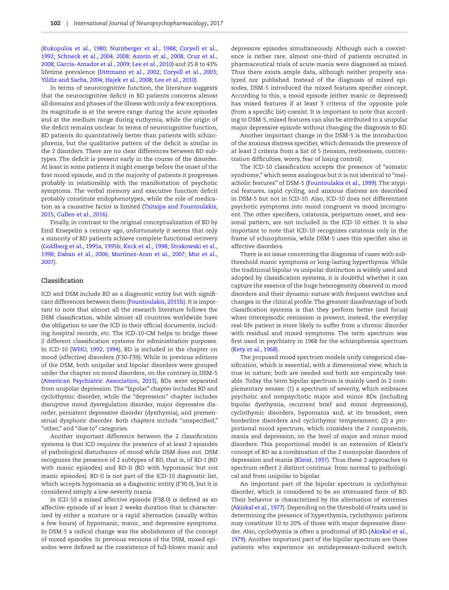([Kukopulos et al., 1980](#page-18-11); [Nurnberger et al., 1988;](#page-20-14) [Coryell et al.,](#page-15-18)  [1992](#page-15-18); [Schneck et al., 2004,](#page-21-14) [2008](#page-21-15); [Azorin et al., 2008](#page-14-21); [Cruz et al.,](#page-15-19)  [2008](#page-15-19); [Garcia-Amador et al., 2009](#page-16-9); [Lee et al., 2010](#page-18-12)) and 25.8 to 43% lifetime prevalence ([Dittmann et al., 2002;](#page-15-20) [Coryell et al., 2003;](#page-15-11) [Yildiz and Sachs, 2004](#page-22-7); [Hajek et al., 2008](#page-17-3); [Lee et al., 2010\)](#page-18-12).

In terms of neurocognitive function, the literature suggests that the neurocognitive deficit in BD patients concerns almost all domains and phases of the illness with only a few exceptions. Its magnitude is at the severe range during the acute episodes and at the medium range during euthymia, while the origin of the deficit remains unclear. In terms of neurocognitive function, BD patients do quantitatively better than patients with schizophrenia, but the qualitative pattern of the deficit is similar in the 2 disorders. There are no clear differences between BD subtypes. The deficit is present early in the course of the disorder. At least in some patients it might emerge before the onset of the first mood episode, and in the majority of patients it progresses probably in relationship with the manifestation of psychotic symptoms. The verbal memory and executive function deficit probably constitute endophenotypes, while the role of medication as a causative factor is limited ([Tsitsipa and Fountoulakis,](#page-21-16)  [2015](#page-21-16); [Cullen et al., 2016\)](#page-15-21).

Finally, in contrast to the original conceptualization of BD by Emil Kraepelin a century ago, unfortunately it seems that only a minority of BD patients achieve complete functional recovery [\(Goldberg et al., 1995a,](#page-16-11) [1995b;](#page-16-12) [Keck et al., 1998](#page-18-13); [Strakowski et al.,](#page-18-13)  [1998](#page-18-13); [Daban et al., 2006](#page-15-12); [Martinez-Aran et al., 2007](#page-19-14); [Mur et al.,](#page-19-15)  [2007](#page-19-15)).

#### **Classification**

ICD and DSM include BD as a diagnostic entity but with significant differences between them ([Fountoulakis, 2015h\)](#page-16-13). It is important to note that almost all the research literature follows the DSM classification, while almost all countries worldwide have the obligation to use the ICD in their official documents, including hospital records, etc. The ICD-10-CM helps to bridge these 2 different classification systems for administration purposes. In ICD-10 [\(WHO, 1992](#page-22-8), [1994\)](#page-22-9), BD is included in the chapter on mood (affective) disorders (F30-F39). While in previous editions of the DSM, both unipolar and bipolar disorders were grouped under the chapter on mood disorders, on the contrary in DSM-5 ([American Psychiatric Association, 2013](#page-13-5)), BDs were separated from unipolar depression. The "bipolar" chapter includes BD and cyclothymic disorder, while the "depression" chapter includes disruptive mood dysregulation disorder, major depressive disorder, persistent depressive disorder (dysthymia), and premenstrual dysphoric disorder. Both chapters include "unspecified," "other," and "due to" categories.

Another important difference between the 2 classification systems is that ICD requires the presence of at least 2 episodes of pathological disturbance of mood while DSM does not. DSM recognizes the presence of 2 subtypes of BD, that is, of BD-I (BD with manic episodes) and BD-II (BD with hypomanic but not manic episodes). BD-II is not part of the ICD-10 diagnostic list, which accepts hypomania as a diagnostic entity (F30.0), but it is considered simply a low-severity mania.

In ICD-10 a mixed affective episode (F38.0) is defined as an affective episode of at least 2 weeks duration that is characterized by either a mixture or a rapid alternation (usually within a few hours) of hypomanic, manic, and depressive symptoms. In DSM-5 a radical change was the abolishment of the concept of mixed episodes. In previous versions of the DSM, mixed episodes were defined as the coexistence of full-blown manic and

depressive episodes simultaneously. Although such a coexistence is rather rare, almost one-third of patients recruited in pharmaceutical trials of acute mania were diagnosed as mixed. Thus there exists ample data, although neither properly analyzed nor published. Instead of the diagnosis of mixed episodes, DSM-5 introduced the mixed features specifier concept. According to this, a mood episode (either manic or depressed) has mixed features if at least 3 criteria of the opposite pole (from a specific list) coexist. It is important to note that according to DSM-5, mixed features can also be attributed to a unipolar major depressive episode without changing the diagnosis to BD.

Another important change in the DSM-5 is the introduction of the anxious distress specifier, which demands the presence of at least 2 criteria from a list of 5 (tension, restlessness, concentration difficulties, worry, fear of losing control).

The ICD-10 classification accepts the presence of "somatic syndrome," which sems analogous but it is not identical to "melacholic features" of DSM-5 [\(Fountoulakis et al., 1999\)](#page-16-14). The atypical features, rapid cycling, and anxious distress are described in DSM-5 but not in ICD-10. Also, ICD-10 does not differentiate psychotic symptoms into mood congruent vs mood incongruent. The other specifiers, catatonia, peripartum onset, and seasonal pattern, are not included in the ICD-10 either. It is also important to note that ICD-10 recognizes catatonia only in the frame of schizophrenia, while DSM-5 uses this specifier also in affective disorders.

There is an issue concerning the diagnosis of cases with subthreshold manic symptoms or long-lasting hyperthymia. While the traditional bipolar vs unipolar distinction is widely used and adopted by classification systems, it is doubtful whether it can capture the essence of the huge heterogeneity observed in mood disorders and their dynamic nature with frequent switches and changes in the clinical profile. The greatest disadvantage of both classification systems is that they perform better (and focus) when interepisodic remission is present; instead, the everyday real-life patient is more likely to suffer from a chronic disorder with residual and mixed symptoms. The term spectrum was first used in psychiatry in 1968 for the schizophrenia spectrum ([Kety et al., 1968](#page-18-14)).

The proposed mood spectrum models unify categorical classification, which is essential, with a dimensional view, which is true to nature; both are needed and both are empirically testable. Today the term bipolar spectrum is mainly used in 2 complementary senses: (1) a spectrum of severity, which embraces psychotic and nonpsychotic major and minor BDs (including bipolar dysthymia, recurrent brief and minor depressions), cyclothymic disorders, hypomania and, at its broadest, even borderline disorders and cyclothymic temperament; (2) a proportional mood spectrum, which considers the 2 components, mania and depression, on the level of major and minor mood disorders. This proportional model is an extension of Kleist's concept of BD as a combination of the 2 monopolar disorders of depression and mania ([Kleist, 1937](#page-18-15)). Thus these 2 approaches to spectrum reflect 2 distinct continua: from normal to pathological and from unipolar to bipolar.

An important part of the bipolar spectrum is cyclothymic disorder, which is considered to be an attenuated form of BD. Their behavior is characterized by the alternation of extremes ([Akiskal et al., 1977](#page-13-6)). Depending on the threshold of traits used in determining the presence of hyperthymia, cyclothymic patients may constitute 10 to 20% of those with major depressive disorder. Also, cyclothymia is often a prodromal of BD [\(Akiskal et al.,](#page-13-7)  [1979](#page-13-7)). Another important part of the bipolar spectrum are those patients who experience an antidepressant-induced switch.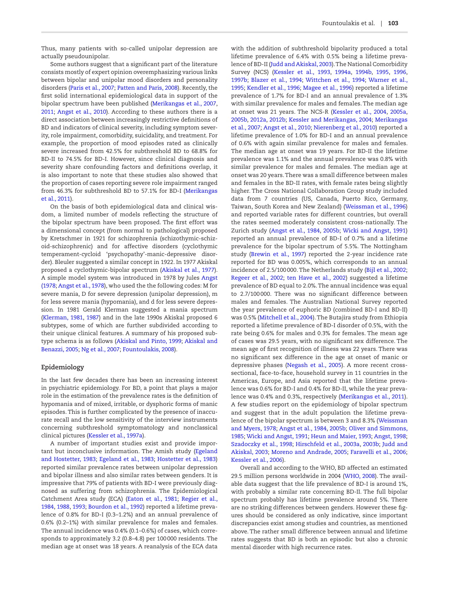Thus, many patients with so-called unipolar depression are actually pseudounipolar.

Some authors suggest that a significant part of the literature consists mostly of expert opinion overemphasizing various links between bipolar and unipolar mood disorders and personality disorders [\(Paris et al., 2007](#page-20-15); [Patten and Paris, 2008\)](#page-20-16). Recently, the first solid international epidemiological data in support of the bipolar spectrum have been published [\(Merikangas et al., 2007,](#page-19-16) [2011](#page-19-17); [Angst et al., 2010\)](#page-14-22). According to these authors there is a direct association between increasingly restrictive definitions of BD and indicators of clinical severity, including symptom severity, role impairment, comorbidity, suicidality, and treatment. For example, the proportion of mood episodes rated as clinically severe increased from 42.5% for subthreshold BD to 68.8% for BD-II to 74.5% for BD-I. However, since clinical diagnosis and severity share confounding factors and definitions overlap, it is also important to note that these studies also showed that the proportion of cases reporting severe role impairment ranged from 46.3% for subthreshold BD to 57.1% for BD-I ([Merikangas](#page-19-17)  [et al., 2011](#page-19-17)).

On the basis of both epidemiological data and clinical wisdom, a limited number of models reflecting the structure of the bipolar spectrum have been proposed. The first effort was a dimensional concept (from normal to pathological) proposed by Kretschmer in 1921 for schizophrenia (schizothymic-schizoid-schizophrenic) and for affective disorders (cyclothymic temperament-cycloid 'psychopathy'-manic-depressive disorder). Bleuler suggested a similar concept in 1922. In 1977 Akiskal proposed a cyclothymic-bipolar spectrum ([Akiskal et al., 1977](#page-13-6)). A simple model system was introduced in 1978 by Jules [Angst](#page-14-19)  [\(1978;](#page-14-19) [Angst et al., 1978](#page-14-23)), who used the the following codes: M for severe mania, D for severe depression (unipolar depression), m for less severe mania (hypomania), and d for less severe depression. In 1981 Gerald Klerman suggested a mania spectrum ([Klerman, 1981](#page-18-16), [1987](#page-18-17)) and in the late 1990s Akiskal proposed 6 subtypes, some of which are further subdivided according to their unique clinical features. A summary of his proposed subtype schema is as follows ([Akiskal and Pinto, 1999;](#page-13-8) [Akiskal and](#page-13-9)  [Benazzi, 2005;](#page-13-9) [Ng et al., 2007;](#page-20-17) [Fountoulakis, 2008](#page-16-15)).

#### **Epidemiology**

In the last few decades there has been an increasing interest in psychiatric epidemiology. For BD, a point that plays a major role in the estimation of the prevalence rates is the definition of hypomania and of mixed, irritable, or dysphoric forms of manic episodes. This is further complicated by the presence of inaccurate recall and the low sensitivity of the interview instruments concerning subthreshold symptomatology and nonclassical clinical pictures [\(Kessler et al., 1997a\)](#page-18-18).

A number of important studies exist and provide important but inconclusive information. The Amish study [\(Egeland](#page-15-22)  [and Hostetter, 1983](#page-15-22); [Egeland et al., 1983](#page-15-22); [Hostetter et al., 1983](#page-15-22)) reported similar prevalence rates between unipolar depression and bipolar illness and also similar rates between genders. It is impressive that 79% of patients with BD-I were previously diagnosed as suffering from schizophrenia. The Epidemiological Catchment Area study (ECA) [\(Eaton et al., 1981](#page-15-23); [Regier et al.,](#page-20-18)  [1984](#page-20-18), [1988](#page-21-17), [1993;](#page-21-18) [Bourdon et al., 1992\)](#page-14-24) reported a lifetime prevalence of 0.8% for BD-I (0.3–1.2%) and an annual prevalence of 0.6% (0.2–1%) with similar prevalence for males and females. The annual incidence was 0.4% (0.1–0.6%) of cases, which corresponds to approximately 3.2 (0.8–4.8) per 100000 residents. The median age at onset was 18 years. A reanalysis of the ECA data

with the addition of subthreshold bipolarity produced a total lifetime prevalence of 6.4% with 0.5% being a lifetime prevalence of BD-II [\(Judd and Akiskal, 2003](#page-18-19)). The National Comorbidity Survey (NCS) [\(Kessler et al., 1993](#page-18-20), [1994a](#page-18-21), [1994b,](#page-18-22) [1995,](#page-18-23) [1996,](#page-18-24) [1997b;](#page-18-25) [Blazer et al., 1994;](#page-14-25) [Wittchen et al., 1994;](#page-22-10) [Warner et al.,](#page-22-11)  [1995](#page-22-11); [Kendler et al., 1996;](#page-18-24) [Magee et al., 1996](#page-19-18)) reported a lifetime prevalence of 1.7% for BD-I and an annual prevalence of 1.3% with similar prevalence for males and females. The median age at onset was 21 years. The NCS-R [\(Kessler et al., 2004,](#page-18-26) [2005a,](#page-18-27) [2005b,](#page-18-28) [2012a](#page-18-29), [2012b;](#page-18-30) [Kessler and Merikangas, 2004](#page-18-26); [Merikangas](#page-19-16)  [et al., 2007;](#page-19-16) [Angst et al., 2010;](#page-14-22) [Nierenberg et al., 2010](#page-20-19)) reported a lifetime prevalence of 1.0% for BD-I and an annual prevalence of 0.6% with again similar prevalence for males and females. The median age at onset was 19 years. For BD-II the lifetime prevalence was 1.1% and the annual prevalence was 0.8% with similar prevalence for males and females. The median age at onset was 20 years. There was a small difference between males and females in the BD-II rates, with female rates being slightly higher. The Cross National Collaboration Group study included data from 7 countries (US, Canada, Puerto Rico, Germany, Taiwan, South Korea and New Zealand) ([Weissman et al., 1996](#page-22-12)) and reported variable rates for different countries, but overall the rates seemed moderately consistent cross-nationally. The Zurich study [\(Angst et al., 1984](#page-14-26), [2005b](#page-14-27); [Wicki and Angst, 1991](#page-22-13)) reported an annual prevalence of BD-I of 0.7% and a lifetime prevalence for the bipolar spectrum of 5.5%. The Nottingham study ([Brewin et al., 1997\)](#page-14-28) reported the 2-year incidence rate reported for BD was 0.005%, which corresponds to an annual incidence of 2.5/100000. The Netherlands study ([Bijl et al., 2002;](#page-14-29) [Regeer et al., 2002;](#page-20-20) [ten Have et al., 2002\)](#page-20-20) suggested a lifetime prevalence of BD equal to 2.0%. The annual incidence was equal to 2.7/100000. There was no significant difference between males and females. The Australian National Survey reported the year prevalence of euphoric BD (combined BD-I and BD-II) was 0.5% [\(Mitchell et al., 2004\)](#page-19-19). The Butajira study from Ethiopia reported a lifetime prevalence of BD-I disorder of 0.5%, with the rate being 0.6% for males and 0.3% for females. The mean age of cases was 29.5 years, with no significant sex difference. The mean age of first recognition of illness was 22 years. There was no significant sex difference in the age at onset of manic or depressive phases ([Negash et al., 2005\)](#page-20-21). A more recent crosssectional, face-to-face, household survey in 11 countries in the Americas, Europe, and Asia reported that the lifetime prevalence was 0.6% for BD-I and 0.4% for BD-II, while the year prevalence was 0.4% and 0.3%, respectively ([Merikangas et al., 2011](#page-19-17)). A few studies report on the epidemiology of bipolar spectrum and suggest that in the adult population the lifetime prevalence of the bipolar spectrum is between 3 and 8.3% [\(Weissman](#page-22-14)  [and Myers, 1978](#page-22-14); [Angst et al., 1984](#page-14-26), [2005b;](#page-14-27) [Oliver and Simmons,](#page-20-22)  [1985](#page-20-22); [Wicki and Angst, 1991](#page-22-13); [Heun and Maier, 1993](#page-17-4); [Angst, 1998;](#page-14-18) [Szadoczky et al., 1998;](#page-21-19) [Hirschfeld et al., 2003a](#page-17-5), [2003b;](#page-17-6) [Judd and](#page-18-19)  [Akiskal, 2003](#page-18-19); [Moreno and Andrade, 2005](#page-19-20); [Faravelli et al., 2006;](#page-15-24) [Kessler et al., 2006\)](#page-18-31).

Overall and according to the WHO, BD affected an estimated 29.5 million persons worldwide in 2004 [\(WHO, 2008](#page-22-15)). The available data suggest that the life prevalence of BD-I is around 1%, with probably a similar rate concerning BD-II. The full bipolar spectrum probably has lifetime prevalence around 5%. There are no striking differences between genders. However these figures should be considered as only indicative, since important discrepancies exist among studies and countries, as mentioned above. The rather small difference between annual and lifetime rates suggests that BD is both an episodic but also a chronic mental disorder with high recurrence rates.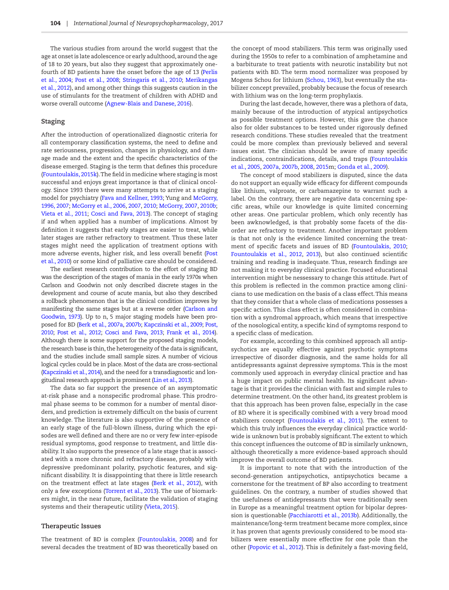The various studies from around the world suggest that the age at onset is late adolescence or early adulthood, around the age of 18 to 20 years, but also they suggest that approximately onefourth of BD patients have the onset before the age of 13 ([Perlis](#page-20-23)  [et al., 2004;](#page-20-23) [Post et al., 2008;](#page-20-24) [Stringaris et al., 2010](#page-21-20); [Merikangas](#page-19-21)  [et al., 2012\)](#page-19-21), and among other things this suggests caution in the use of stimulants for the treatment of children with ADHD and worse overall outcome [\(Agnew-Blais and Danese, 2016\)](#page-13-10).

#### **Staging**

After the introduction of operationalized diagnostic criteria for all contemporary classification systems, the need to define and rate seriousness, progression, changes in physiology, and damage made and the extent and the specific characteristics of the disease emerged. Staging is the term that defines this procedure ([Fountoulakis, 2015k](#page-16-16)). The field in medicine where staging is most successful and enjoys great importance is that of clinical oncology. Since 1993 there were many attempts to arrive at a staging model for psychiatry [\(Fava and Kellner, 1993;](#page-15-25) Yung and [McGorry,](#page-19-22)  [1996, 2007](#page-19-22); [McGorry et al., 2006,](#page-19-23) [2007,](#page-19-24) [2010](#page-19-25); [McGorry, 2007,](#page-19-22) [2010b;](#page-19-26) [Vieta et al., 2011;](#page-16-17) [Cosci and Fava, 2013](#page-15-26)). The concept of staging if and when applied has a number of implications. Almost by definition it suggests that early stages are easier to treat, while later stages are rather refractory to treatment. Thus these later stages might need the application of treatment options with more adverse events, higher risk, and less overall benefit ([Post](#page-20-25)  [et al., 2010\)](#page-20-25) or some kind of palliative care should be considered.

The earliest research contribution to the effort of staging BD was the description of the stages of mania in the early 1970s when Carlson and Goodwin not only described discrete stages in the development and course of acute mania, but also they described a rollback phenomenon that is the clinical condition improves by manifesting the same stages but at a reverse order [\(Carlson and](#page-15-8)  [Goodwin, 1973\)](#page-15-8). Up to n, 5 major staging models have been proposed for BD [\(Berk et al., 2007a,](#page-14-30) [2007b;](#page-14-31) [Kapczinski et al., 2009](#page-18-32); [Post,](#page-20-26)  [2010;](#page-20-26) [Post et al., 2012;](#page-20-27) [Cosci and Fava, 2013;](#page-15-26) [Frank et al., 2014\)](#page-16-18). Although there is some support for the proposed staging models, the research base is thin, the heterogeneity of the data is significant, and the studies include small sample sizes. A number of vicious logical cycles could be in place. Most of the data are cross-sectional ([Kapczinski et al., 2014\)](#page-18-33), and the need for a transdiagnostic and longitudinal research approach is prominent ([Lin et al., 2013\)](#page-19-27).

The data so far support the presence of an asymptomatic at-risk phase and a nonspecific prodromal phase. This prodromal phase seems to be common for a number of mental disorders, and prediction is extremely difficult on the basis of current knowledge. The literature is also supportive of the presence of an early stage of the full-blown illness, during which the episodes are well defined and there are no or very few inter-episode residual symptoms, good response to treatment, and little disability. It also supports the presence of a late stage that is associated with a more chronic and refractory disease, probably with depressive predominant polarity, psychotic features, and significant disability. It is disappointing that there is little research on the treatment effect at late stages ([Berk et al., 2012](#page-14-32)), with only a few exceptions ([Torrent et al., 2013\)](#page-21-21). The use of biomarkers might, in the near future, facilitate the validation of staging systems and their therapeutic utility ([Vieta, 2015](#page-21-22)).

#### **Therapeutic Issues**

The treatment of BD is complex ([Fountoulakis, 2008\)](#page-16-15) and for several decades the treatment of BD was theoretically based on

the concept of mood stabilizers. This term was originally used during the 1950s to refer to a combination of amphetamine and a barbiturate to treat patients with neurotic instability but not patients with BD. The term mood normalizer was proposed by Mogens Schou for lithium [\(Schou, 1963](#page-21-23)), but eventually the stabilizer concept prevailed, probably because the focus of research with lithium was on the long-term prophylaxis.

During the last decade, however, there was a plethora of data, mainly because of the introduction of atypical antipsychotics as possible treatment options. However, this gave the chance also for older substances to be tested under rigorously defined research conditions. These studies revealed that the treatment could be more complex than previously believed and several issues exist. The clinician should be aware of many specific indications, contraindications, details, and traps ([Fountoulakis](#page-16-19)  [et al., 2005](#page-16-19), [2007a](#page-16-20), [2007b,](#page-16-21) [2008](#page-16-22), [2015m](#page-21-16); [Gonda et al., 2009](#page-16-23)).

The concept of mood stabilizers is disputed, since the data do not support an equally wide efficacy for different compounds like lithium, valproate, or carbamazepine to warrant such a label. On the contrary, there are negative data concerning specific areas, while our knowledge is quite limited concerning other areas. One particular problem, which only recently has been awknowledged, is that probably some facets of the disorder are refractory to treatment. Another important problem is that not only is the evidence limited concerning the treatment of specific facets and issues of BD ([Fountoulakis, 2010;](#page-16-24) [Fountoulakis et al., 2012,](#page-16-25) [2013](#page-16-26)), but also continued scientific training and reading is inadequate. Thus, research findings are not making it to everyday clinical practice. Focused educational intervention might be nessessary to change this attitude. Part of this problem is reflected in the common practice among clinicians to use medication on the basis of a class effect. This means that they consider that a whole class of medications possesses a specific action. This class effect is often considered in combination with a syndromal approach, which means that irrespective of the nosological entity, a specific kind of symptoms respond to a specific class of medication.

For example, according to this combined approach all antipsychotics are equally effective against psychotic symptoms irrespective of disorder diagnosis, and the same holds for all antidepressants against depressive symptoms. This is the most commonly used approach in everyday clinical practice and has a huge impact on public mental health. Its significant advantage is that it provides the clinician with fast and simple rules to determine treatment. On the other hand, its greatest problem is that this approach has been proven false, especially in the case of BD where it is specifically combined with a very broad mood stabilizers concept [\(Fountoulakis et al., 2011](#page-16-17)). The extent to which this truly influences the everyday clinical practice worldwide is unknown but is probably significant. The extent to which this concept influences the outcome of BD is similarly unknown, although theoretically a more evidence-based approach should improve the overall outcome of BD patients.

It is important to note that with the introduction of the second-generation antipsychotics, antipsychotics became a cornerstone for the treatment of BP also according to treatment guidelines. On the contrary, a number of studies showed that the usefulness of antidepressants that were traditionally seen in Europe as a meaningful treatment option for bipolar depression is questionable ([Pacchiarotti et al., 2013b\)](#page-20-28). Additionally, the maintenance/long-term treatment became more complex, since it has proven that agents previously considered to be mood stabilizers were essentially more effective for one pole than the other ([Popovic et al., 2012](#page-20-29)). This is definitely a fast-moving field,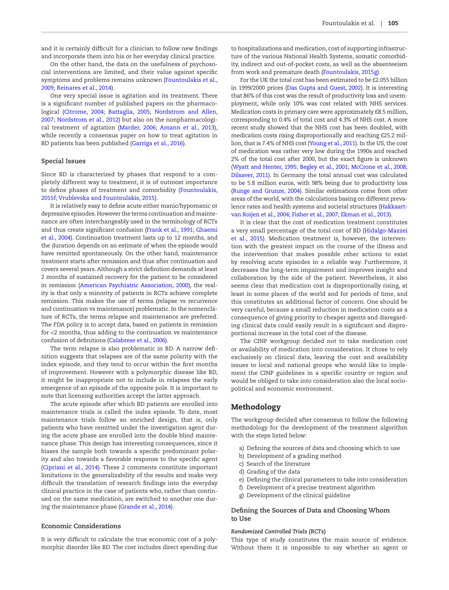and it is certainly difficult for a clinician to follow new findings and incorporate them into his or her everyday clinical practice.

On the other hand, the data on the usefulness of psychosocial interventions are limited, and their value against specific symptoms and problems remains unknown [\(Fountoulakis et al.,](#page-16-23)  [2009](#page-16-23); [Reinares et al., 2014\)](#page-21-24).

One very special issue is agitation and its treatment. There is a significant number of published papers on the pharmacological [\(Citrome, 2004](#page-15-27); [Battaglia, 2005;](#page-14-33) [Nordstrom and Allen,](#page-20-30)  [2007](#page-20-30); [Nordstrom et al., 2012](#page-20-31)) but also on the nonpharmacological treatment of agitation ([Marder, 2006;](#page-19-28) [Amann et al., 2013](#page-13-11)), while recently a consensus paper on how to treat agitation in BD patients has been published [\(Garriga et al., 2016\)](#page-16-27).

#### **Special Issues**

Since BD is characterized by phases that respond to a completely different way to treatment, it is of outmost importance to define phases of treatment and comorbidity [\(Fountoulakis,](#page-16-28)  [2015f](#page-16-28); [Vrublevska and Fountoulakis, 2015](#page-22-16)).

It is relatively easy to define acute either manic/hypomanic or depressive episodes. However the terms continuation and maintenance are often interchangeably used in the terminology of RCTs and thus create significant confusion ([Frank et al., 1991;](#page-16-29) [Ghaemi](#page-16-30)  [et al., 2004\)](#page-16-30). Continuation treatment lasts up to 12 months, and the duration depends on an estimate of when the episode would have remitted spontaneously. On the other hand, maintenance treatment starts after remission and thus after continuation and covers several years. Although a strict definition demands at least 2 months of sustained recovery for the patient to be considered in remission [\(American Psychiatric Association, 2000\)](#page-13-12), the reality is that only a minority of patients in RCTs achieve complete remission. This makes the use of terms (relapse vs recurrence and continuation vs maintenance) problematic. In the nomenclature of RCTs, the terms relapse and maintenance are preferred. The FDA policy is to accept data, based on patients in remission for <2 months, thus adding to the continuation vs maintenance confusion of definitions ([Calabrese et al., 2006](#page-14-34)).

The term relapse is also problematic in BD. A narrow definition suggests that relapses are of the same polarity with the index episode, and they tend to occur within the first months of improvement. However with a polymorphic disease like BD, it might be inappropriate not to include in relapses the early emergence of an episode of the opposite pole. It is important to note that licensing authorities accept the latter approach.

The acute episode after which BD patients are enrolled into maintenance trials is called the index episode. To date, most maintenance trials follow an enriched design, that is, only patients who have remitted under the investigation agent during the acute phase are enrolled into the double blind maintenance phase. This design has interesting consequences, since it biases the sample both towards a specific predominant polarity and also towards a favorable response to the specific agent ([Cipriani et al., 2014\)](#page-15-28). These 2 comments constitute important limitations in the generalizability of the results and make very difficult the translation of research findings into the everyday clinical practice in the case of patients who, rather than continued on the same medication, are switched to another one during the maintenance phase ([Grande et al., 2014\)](#page-16-31).

## **Economic Considerations**

It is very difficult to calculate the true economic cost of a polymorphic disorder like BD. The cost includes direct spending due

to hospitalizations and medication, cost of supporting infrastructure of the various National Health Systems, somatic comorbidity, indirect and out-of-pocket costs, as well as the absenteeism from work and premature death ([Fountoulakis, 2015g](#page-16-32)).

For the UK the total cost has been estimated to be £2.055 billion in 1999/2000 prices ([Das Gupta and Guest, 2002\)](#page-15-29). It is interesting that 86% of this cost was the result of productivity loss and unemployment, while only 10% was cost related with NHS services. Medication costs in primary care were approximately £8.5 million, corresponding to 0.4% of total cost and 4.3% of NHS cost. A more recent study showed that the NHS cost has been doubled, with medication costs rising disproportionally and reaching £25.2 million, that is 7.4% of NHS cost [\(Young et al., 2011](#page-22-17)). In the US, the cost of medication was rather very low during the 1990s and reached 2% of the total cost after 2000, but the exact figure is unknown ([Wyatt and Henter, 1995](#page-22-18); [Begley et al., 2001](#page-14-35); [McCrone et al., 2008;](#page-19-29) [Dilsaver, 2011\)](#page-15-30). In Germany the total annual cost was calculated to be 5.8 million euros, with 98% being due to productivity loss ([Runge and Grunze, 2004\)](#page-21-25). Similar estimations come from other areas of the world, with the calculations basing on different prevalence rates and health systems and societal structures ([Hakkaart](#page-17-7)[van Roijen et al., 2004](#page-17-7); [Fisher et al., 2007](#page-15-31); [Ekman et al., 2013](#page-15-32)).

It is clear that the cost of medication treatment constitutes a very small percentage of the total cost of BD ([Hidalgo-Mazzei](#page-17-8)  [et al., 2015\)](#page-17-8). Medication treatment is, however, the intervention with the greatest impact on the course of the illness and the intervention that makes possible other actions to exist by resolving acute episodes in a reliable way. Furthermore, it decreases the long-term impairment and improves insight and collaboration by the side of the patient. Nevertheless, it also seems clear that medication cost is disproportionally rising, at least in some places of the world and for periods of time, and this constitutes an additional factor of concern. One should be very careful, because a small reduction in medication costs as a consequence of giving priority to cheaper agents and disregarding clinical data could easily result in a significant and disproportional increase in the total cost of the disease.

The CINP workgroup decided not to take medication cost or availability of medication into consideration. It chose to rely exclusively on clinical data, leaving the cost and availability issues to local and national groups who would like to implement the CINP guidelines in a specific country or region and would be obliged to take into consideration also the local sociopolitical and economic environment.

## Methodology

The workgroup decided after consensus to follow the following methodology for the development of the treatment algorithm with the steps listed below:

- a) Defining the sources of data and choosing which to use
- b) Development of a grading method
- c) Search of the literature
- d) Grading of the data
- e) Defining the clinical parameters to take into consideration
- f) Development of a precise treatment algorithm
- g) Development of the clinical guideline

## **Defining the Sources of Data and Choosing Whom to Use**

#### *Randomized Controlled Trials (RCTs)*

This type of study constitutes the main source of evidence. Without them it is impossible to say whether an agent or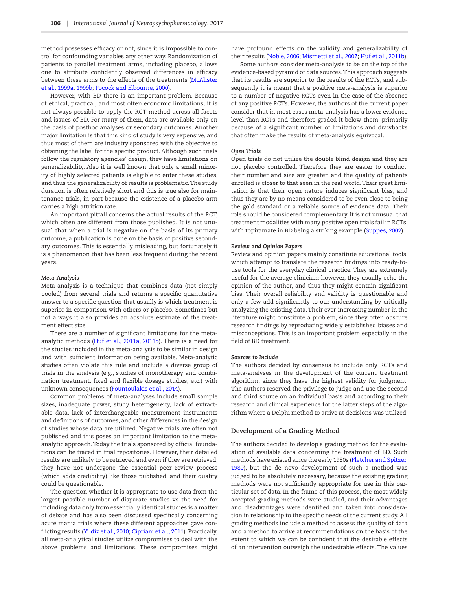method possesses efficacy or not, since it is impossible to control for confounding variables any other way. Randomization of patients to parallel treatment arms, including placebo, allows one to attribute confidently observed differences in efficacy between these arms to the effects of the treatments ([McAlister](#page-19-30)  [et al., 1999a](#page-19-30), [1999b](#page-19-31); [Pocock and Elbourne, 2000](#page-20-32)).

However, with BD there is an important problem. Because of ethical, practical, and most often economic limitations, it is not always possible to apply the RCT method across all facets and issues of BD. For many of them, data are available only on the basis of posthoc analyses or secondary outcomes. Another major limitation is that this kind of study is very expensive, and thus most of them are industry sponsored with the objective to obtaining the label for the specific product. Although such trials follow the regulatory agencies' design, they have limitations on generalizability. Also it is well known that only a small minority of highly selected patients is eligible to enter these studies, and thus the generalizability of results is problematic. The study duration is often relatively short and this is true also for maintenance trials, in part because the existence of a placebo arm carries a high attrition rate.

An important pitfall concerns the actual results of the RCT, which often are different from those published. It is not unusual that when a trial is negative on the basis of its primary outcome, a publication is done on the basis of positive secondary outcomes. This is essentially misleading, but fortunately it is a phenomenon that has been less frequent during the recent years.

#### *Meta-Analysis*

Meta-analysis is a technique that combines data (not simply pooled) from several trials and returns a specific quantitative answer to a specific question that usually is which treatment is superior in comparison with others or placebo. Sometimes but not always it also provides an absolute estimate of the treatment effect size.

There are a number of significant limitations for the metaanalytic methods [\(Huf et al., 2011a,](#page-17-9) [2011b\)](#page-17-10). There is a need for the studies included in the meta-analysis to be similar in design and with sufficient information being available. Meta-analytic studies often violate this rule and include a diverse group of trials in the analysis (e.g., studies of monotherapy and combination treatment, fixed and flexible dosage studies, etc.) with unknown consequences [\(Fountoulakis et al., 2014](#page-16-33)).

Common problems of meta-analyses include small sample sizes, inadequate power, study heterogeneity, lack of extractable data, lack of interchangeable measurement instruments and definitions of outcomes, and other differences in the design of studies whose data are utilized. Negative trials are often not published and this poses an important limitation to the metaanalytic approach. Today the trials sponsored by official foundations can be traced in trial repositories. However, their detailed results are unlikely to be retrieved and even if they are retrieved, they have not undergone the essential peer review process (which adds credibility) like those published, and their quality could be questionable.

The question whether it is appropriate to use data from the largest possible number of disparate studies vs the need for including data only from essentially identical studies is a matter of debate and has also been discussed specifically concerning acute mania trials where these different approaches gave conflicting results ([Yildiz et al., 2010](#page-22-19); [Cipriani et al., 2011\)](#page-15-33). Practically, all meta-analytical studies utilize compromises to deal with the above problems and limitations. These compromises might

have profound effects on the validity and generalizability of their results [\(Noble, 2006](#page-20-33); [Mismetti et al., 2007](#page-19-32); [Huf et al., 2011b](#page-17-10)).

Some authors consider meta-analysis to be on the top of the evidence-based pyramid of data sources. This approach suggests that its results are superior to the results of the RCTs, and subsequently it is meant that a positive meta-analysis is superior to a number of negative RCTs even in the case of the absence of any positive RCTs. However, the authors of the current paper consider that in most cases meta-analysis has a lower evidence level than RCTs and therefore graded it below them, primarily because of a significant number of limitations and drawbacks that often make the results of meta-analysis equivocal.

#### *Open Trials*

Open trials do not utilize the double blind design and they are not placebo controlled. Therefore they are easier to conduct, their number and size are greater, and the quality of patients enrolled is closer to that seen in the real world. Their great limitation is that their open nature induces significant bias, and thus they are by no means considered to be even close to being the gold standard or a reliable source of evidence data. Their role should be considered complementary. It is not unusual that treatment modalities with many positive open trials fail in RCTs, with topiramate in BD being a striking example [\(Suppes, 2002](#page-21-26)).

#### *Review and Opinion Papers*

Review and opinion papers mainly constitute educational tools, which attempt to translate the research findings into ready-touse tools for the everyday clinical practice. They are extremely useful for the average clinician; however, they usually echo the opinion of the author, and thus they might contain significant bias. Their overall reliability and validity is questionable and only a few add significantly to our understanding by critically analyzing the existing data. Their ever-increasing number in the literature might constitute a problem, since they often obscure research findings by reproducing widely established biases and misconceptions. This is an important problem especially in the field of BD treatment.

#### *Sources to Include*

The authors decided by consensus to include only RCTs and meta-analyses in the development of the current treatment algorithm, since they have the highest validity for judgment. The authors reserved the privilege to judge and use the second and third source on an individual basis and according to their research and clinical experience for the latter steps of the algorithm where a Delphi method to arrive at decisions was utilized.

## **Development of a Grading Method**

The authors decided to develop a grading method for the evaluation of available data concerning the treatment of BD. Such methods have existed since the early 1980s [\(Fletcher and Spitzer,](#page-15-34)  [1980](#page-15-34)), but the de novo development of such a method was judged to be absolutely necessary, because the existing grading methods were not sufficiently appropriate for use in this particular set of data. In the frame of this process, the most widely accepted grading methods were studied, and their advantages and disadvantages were identified and taken into consideration in relationship to the specific needs of the current study. All grading methods include a method to assess the quality of data and a method to arrive at recommendations on the basis of the extent to which we can be confident that the desirable effects of an intervention outweigh the undesirable effects. The values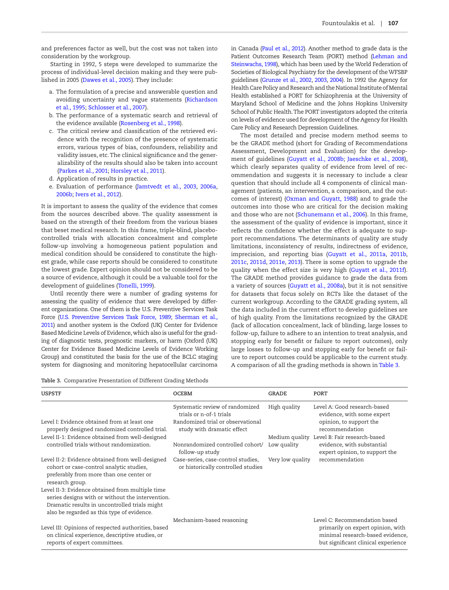and preferences factor as well, but the cost was not taken into consideration by the workgroup.

Starting in 1992, 5 steps were developed to summarize the process of individual-level decision making and they were published in 2005 ([Dawes et al., 2005](#page-15-35)). They include:

- a. The formulation of a precise and answerable question and avoiding uncertainty and vague statements [\(Richardson](#page-21-27)  [et al., 1995;](#page-21-27) [Schlosser et al., 2007\)](#page-21-28).
- b. The performance of a systematic search and retrieval of the evidence available [\(Rosenberg et al., 1998\)](#page-21-29).
- c. The critical review and classification of the retrieved evidence with the recognition of the presence of systematic errors, various types of bias, confounders, reliability and validity issues, etc. The clinical significance and the generalizability of the results should also be taken into account [\(Parkes et al., 2001](#page-20-34); [Horsley et al., 2011\)](#page-17-11).
- d. Application of results in practice.
- e. Evaluation of performance ([Jamtvedt et al., 2003](#page-17-12), [2006a,](#page-17-13) [2006b;](#page-17-14) [Ivers et al., 2012](#page-17-15)).

It is important to assess the quality of the evidence that comes from the sources described above. The quality assessment is based on the strength of their freedom from the various biases that beset medical research. In this frame, triple-blind, placebocontrolled trials with allocation concealment and complete follow-up involving a homogeneous patient population and medical condition should be considered to constitute the highest grade, while case reports should be considered to constitute the lowest grade. Expert opinion should not be considered to be a source of evidence, although it could be a valuable tool for the development of guidelines ([Tonelli, 1999](#page-21-30)).

Until recently there were a number of grading systems for assessing the quality of evidence that were developed by different organizations. One of them is the U.S. Preventive Services Task Force [\(U.S. Preventive Services Task Force, 1989;](#page-21-31) [Sherman et al.,](#page-21-32)  [2011\)](#page-21-32) and another system is the Oxford (UK) Center for Evidence Based Medicine Levels of Evidence, which also is useful for the grading of diagnostic tests, prognostic markers, or harm (Oxford (UK) Center for Evidence Based Medicine Levels of Evidence Working Group) and constituted the basis for the use of the BCLC staging system for diagnosing and monitoring hepatocellular carcinoma

<span id="page-9-0"></span>**Table 3.** Comparative Presentation of Different Grading Methods

in Canada ([Paul et al., 2012\)](#page-20-35). Another method to grade data is the Patient Outcomes Research Team (PORT) method [\(Lehman and](#page-19-33)  [Steinwachs, 1998](#page-19-33)), which has been used by the World Federation of Societies of Biological Psychiatry for the development of the WFSBP guidelines [\(Grunze et al., 2002](#page-15-20), [2003](#page-17-16), [2004\)](#page-17-17). In 1992 the Agency for Health Care Policy and Research and the National Institute of Mental Health established a PORT for Schizophrenia at the University of Maryland School of Medicine and the Johns Hopkins University School of Public Health. The PORT investigators adopted the criteria on levels of evidence used for development of the Agency for Health Care Policy and Research Depression Guidelines.

The most detailed and precise modern method seems to be the GRADE method (short for Grading of Recommendations Assessment, Development and Evaluation) for the development of guidelines [\(Guyatt et al., 2008b;](#page-17-18) [Jaeschke et al., 2008](#page-17-19)), which clearly separates quality of evidence from level of recommendation and suggests it is necessary to include a clear question that should include all 4 components of clinical management (patients, an intervention, a comparison, and the outcomes of interest) ([Oxman and Guyatt, 1988\)](#page-20-36) and to grade the outcomes into those who are critical for the decision making and those who are not ([Schunemann et al., 2006\)](#page-21-33). In this frame, the assessment of the quality of evidence is important, since it reflects the confidence whether the effect is adequate to support recommendations. The determinants of quality are study limitations, inconsistency of results, indirectness of evidence, imprecision, and reporting bias [\(Guyatt et al., 2011a,](#page-17-20) [2011b,](#page-17-21) [2011c](#page-17-22), [2011d,](#page-17-23) [2011e,](#page-17-24) [2013\)](#page-14-36). There is some option to upgrade the quality when the effect size is very high ([Guyatt et al., 2011f](#page-17-25)). The GRADE method provides guidance to grade the data from a variety of sources [\(Guyatt et al., 2008a](#page-17-26)), but it is not sensitive for datasets that focus solely on RCTs like the dataset of the current workgroup. According to the GRADE grading system, all the data included in the current effort to develop guidelines are of high quality. From the limitations recognized by the GRADE (lack of allocation concealment, lack of blinding, large losses to follow-up, failure to adhere to an intention to treat analysis, and stopping early for benefit or failure to report outcomes), only large losses to follow-up and stopping early for benefit or failure to report outcomes could be applicable to the current study. A comparison of all the grading methods is shown in [Table 3](#page-9-0).

| <b>USPSTF</b>                                                                                                                                                                                       | <b>OCEBM</b>                                                                                                                  | <b>GRADE</b>     | PORT                                                                                                                                          |
|-----------------------------------------------------------------------------------------------------------------------------------------------------------------------------------------------------|-------------------------------------------------------------------------------------------------------------------------------|------------------|-----------------------------------------------------------------------------------------------------------------------------------------------|
| Level I: Evidence obtained from at least one<br>properly designed randomized controlled trial.                                                                                                      | Systematic review of randomized<br>trials or n-of-1 trials<br>Randomized trial or observational<br>study with dramatic effect | High quality     | Level A: Good research-based<br>evidence, with some expert<br>opinion, to support the<br>recommendation                                       |
| Level II-1: Evidence obtained from well-designed<br>controlled trials without randomization.                                                                                                        | Nonrandomized controlled cohort/<br>follow-up study                                                                           | Low quality      | Medium quality Level B: Fair research-based<br>evidence, with substantial<br>expert opinion, to support the                                   |
| Level II-2: Evidence obtained from well-designed<br>cohort or case-control analytic studies,<br>preferably from more than one center or<br>research group.                                          | Case-series, case-control studies,<br>or historically controlled studies                                                      | Very low quality | recommendation                                                                                                                                |
| Level II-3: Evidence obtained from multiple time<br>series designs with or without the intervention.<br>Dramatic results in uncontrolled trials might<br>also be regarded as this type of evidence. |                                                                                                                               |                  |                                                                                                                                               |
| Level III: Opinions of respected authorities, based<br>on clinical experience, descriptive studies, or<br>reports of expert committees.                                                             | Mechanism-based reasoning                                                                                                     |                  | Level C: Recommendation based<br>primarily on expert opinion, with<br>minimal research-based evidence,<br>but significant clinical experience |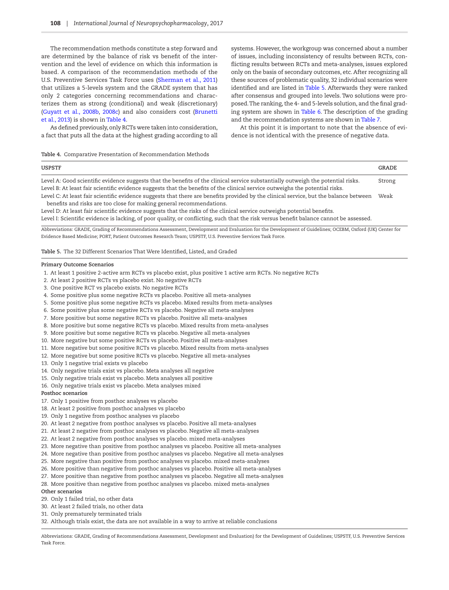The recommendation methods constitute a step forward and are determined by the balance of risk vs benefit of the intervention and the level of evidence on which this information is based. A comparison of the recommendation methods of the U.S. Preventive Services Task Force uses [\(Sherman et al., 2011](#page-21-32)) that utilizes a 5-levels system and the GRADE system that has only 2 categories concerning recommendations and characterizes them as strong (conditional) and weak (discretionary) ([Guyatt et al., 2008b,](#page-17-18) [2008c\)](#page-17-27) and also considers cost [\(Brunetti](#page-14-36)  [et al., 2013](#page-14-36)) is shown in [Table 4.](#page-10-0)

As defined previously, only RCTs were taken into consideration, a fact that puts all the data at the highest grading according to all systems. However, the workgroup was concerned about a number of issues, including inconsistency of results between RCTs, conflicting results between RCTs and meta-analyses, issues explored only on the basis of secondary outcomes, etc. After recognizing all these sources of problematic quality, 32 individual scenarios were identified and are listed in [Table 5.](#page-10-1) Afterwards they were ranked after consensus and grouped into levels. Two solutions were proposed. The ranking, the 4- and 5-levels solution, and the final grading system are shown in [Table 6](#page-11-0). The description of the grading and the recommendation systems are shown in [Table 7.](#page-12-0)

At this point it is important to note that the absence of evidence is not identical with the presence of negative data.

#### <span id="page-10-0"></span>**Table 4.** Comparative Presentation of Recommendation Methods

| USPSTF                                                                                                                                                                                                                                                           | GRADE  |
|------------------------------------------------------------------------------------------------------------------------------------------------------------------------------------------------------------------------------------------------------------------|--------|
| Level A: Good scientific evidence suggests that the benefits of the clinical service substantially outweigh the potential risks.<br>Level B: At least fair scientific evidence suggests that the benefits of the clinical service outweighs the potential risks. | Strong |
| Level C: At least fair scientific evidence suggests that there are benefits provided by the clinical service, but the balance between                                                                                                                            | Weak   |

benefits and risks are too close for making general recommendations. Level D: At least fair scientific evidence suggests that the risks of the clinical service outweighs potential benefits.

Level I: Scientific evidence is lacking, of poor quality, or conflicting, such that the risk versus benefit balance cannot be assessed.

Abbreviations: GRADE, Grading of Recommendations Assessment, Development and Evaluation for the Development of Guidelines; OCEBM, Oxford (UK) Center for Evidence Based Medicine; PORT, Patient Outcomes Research Team; USPSTF, U.S. Preventive Services Task Force.

<span id="page-10-1"></span>**Table 5.** The 32 Different Scenarios That Were Identified, Listed, and Graded

#### **Primary Outcome Scenarios**

- 1. At least 1 positive 2-active arm RCTs vs placebo exist, plus positive 1 active arm RCTs. No negative RCTs
- 2. At least 2 positive RCTs vs placebo exist. No negative RCTs
- 3. One positive RCT vs placebo exists. No negative RCTs
- 4. Some positive plus some negative RCTs vs placebo. Positive all meta-analyses
- 5. Some positive plus some negative RCTs vs placebo. Mixed results from meta-analyses
- 6. Some positive plus some negative RCTs vs placebo. Negative all meta-analyses
- 7. More positive but some negative RCTs vs placebo. Positive all meta-analyses
- 8. More positive but some negative RCTs vs placebo. Mixed results from meta-analyses
- 9. More positive but some negative RCTs vs placebo. Negative all meta-analyses
- 10. More negative but some positive RCTs vs placebo. Positive all meta-analyses
- 11. More negative but some positive RCTs vs placebo. Mixed results from meta-analyses
- 12. More negative but some positive RCTs vs placebo. Negative all meta-analyses
- 13. Only 1 negative trial exists vs placebo
- 14. Only negative trials exist vs placebo. Meta analyses all negative
- 15. Only negative trials exist vs placebo. Meta analyses all positive
- 16. Only negative trials exist vs placebo. Meta analyses mixed

#### **Posthoc scenarios**

- 17. Only 1 positive from posthoc analyses vs placebo
- 18. At least 2 positive from posthoc analyses vs placebo
- 19. Only 1 negative from posthoc analyses vs placebo
- 20. At least 2 negative from posthoc analyses vs placebo. Positive all meta-analyses
- 21. At least 2 negative from posthoc analyses vs placebo. Negative all meta-analyses
- 22. At least 2 negative from posthoc analyses vs placebo. mixed meta-analyses
- 23. More negative than positive from posthoc analyses vs placebo. Positive all meta-analyses
- 24. More negative than positive from posthoc analyses vs placebo. Negative all meta-analyses
- 25. More negative than positive from posthoc analyses vs placebo. mixed meta-analyses
- 26. More positive than negative from posthoc analyses vs placebo. Positive all meta-analyses
- 27. More positive than negative from posthoc analyses vs placebo. Negative all meta-analyses
- 28. More positive than negative from posthoc analyses vs placebo. mixed meta-analyses **Other scenarios**
- 29. Only 1 failed trial, no other data
- 30. At least 2 failed trials, no other data
- 31. Only prematurely terminated trials
- 32. Although trials exist, the data are not available in a way to arrive at reliable conclusions

Abbreviations: GRADE, Grading of Recommendations Assessment, Development and Evaluation) for the Development of Guidelines; USPSTF, U.S. Preventive Services Task Force.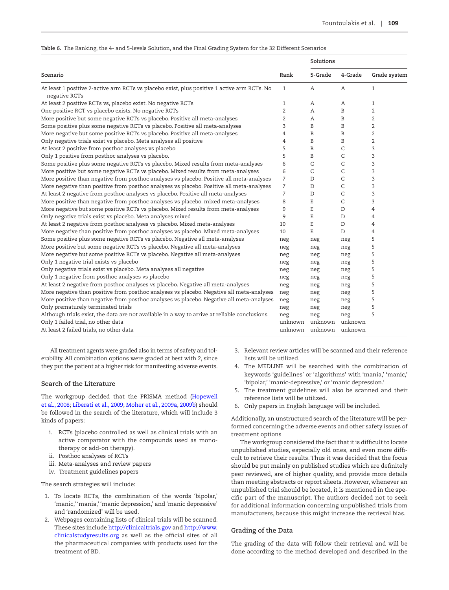<span id="page-11-0"></span>**Table 6.** The Ranking, the 4- and 5-levels Solution, and the Final Grading System for the 32 Different Scenarios

| Scenario                                                                                                     |                | Solutions       |         |                |
|--------------------------------------------------------------------------------------------------------------|----------------|-----------------|---------|----------------|
|                                                                                                              |                | 5-Grade         | 4-Grade | Grade system   |
| At least 1 positive 2-active arm RCTs vs placebo exist, plus positive 1 active arm RCTs. No<br>negative RCTs | $\mathbf{1}$   | Α               | Α       | $\mathbf{1}$   |
| At least 2 positive RCTs vs, placebo exist. No negative RCTs                                                 | 1              | А               | Α       | 1              |
| One positive RCT vs placebo exists. No negative RCTs                                                         | $\overline{2}$ | Α               | B       | $\overline{2}$ |
| More positive but some negative RCTs vs placebo. Positive all meta-analyses                                  | $\overline{2}$ | A               | B       | $\overline{2}$ |
| Some positive plus some negative RCTs vs placebo. Positive all meta-analyses                                 | 3              | B               | B       | $\overline{2}$ |
| More negative but some positive RCTs vs placebo. Positive all meta-analyses                                  | 4              | B               | B       | $\overline{2}$ |
| Only negative trials exist vs placebo. Meta analyses all positive                                            | 4              | B               | B       | $\overline{2}$ |
| At least 2 positive from posthoc analyses vs placebo                                                         | 5              | B               | C       | 3              |
| Only 1 positive from posthoc analyses vs placebo.                                                            | 5              | B               | C       | 3              |
| Some positive plus some negative RCTs vs placebo. Mixed results from meta-analyses                           | 6              | C               | C       | 3              |
| More positive but some negative RCTs vs placebo. Mixed results from meta-analyses                            | 6              | C               | C       | 3              |
| More positive than negative from posthoc analyses vs placebo. Positive all meta-analyses                     | 7              | D               | C       | 3              |
| More negative than positive from posthoc analyses vs placebo. Positive all meta-analyses                     | 7              | D               | C       | 3              |
| At least 2 negative from posthoc analyses vs placebo. Positive all meta-analyses                             | 7              | D               | C       | 3              |
| More positive than negative from posthoc analyses vs placebo. mixed meta-analyses                            | 8              | E               | C       | 3              |
| More negative but some positive RCTs vs placebo. Mixed results from meta-analyses                            | 9              | E               | D       | 4              |
| Only negative trials exist vs placebo. Meta analyses mixed                                                   | 9              | E               | D       | 4              |
| At least 2 negative from posthoc analyses vs placebo. Mixed meta-analyses                                    | 10             | E               | D       | 4              |
| More negative than positive from posthoc analyses vs placebo. Mixed meta-analyses                            | 10             | E               | D       | 4              |
| Some positive plus some negative RCTs vs placebo. Negative all meta-analyses                                 | neg            | neg             | neg     | 5              |
| More positive but some negative RCTs vs placebo. Negative all meta-analyses                                  | neg            | neg             | neg     | 5              |
| More negative but some positive RCTs vs placebo. Negative all meta-analyses                                  | neg            | neg             | neg     | 5              |
| Only 1 negative trial exists vs placebo                                                                      | neg            | neg             | neg     | 5              |
| Only negative trials exist vs placebo. Meta analyses all negative                                            | neg            | neg             | neg     | 5              |
| Only 1 negative from posthoc analyses vs placebo                                                             | neg            | neg             | neg     | 5              |
| At least 2 negative from posthoc analyses vs placebo. Negative all meta-analyses                             | neg            | neg             | neg     | 5              |
| More negative than positive from posthoc analyses vs placebo. Negative all meta-analyses                     | neg            | neg             | neg     | 5              |
| More positive than negative from posthoc analyses vs placebo. Negative all meta-analyses                     | neg            | neg             | neg     | 5              |
| Only prematurely terminated trials                                                                           | neg            | neg             | neg     | 5              |
| Although trials exist, the data are not available in a way to arrive at reliable conclusions                 | neg            | neg             | neg     | 5              |
| Only 1 failed trial, no other data                                                                           | unknown        | unknown         | unknown |                |
| At least 2 failed trials, no other data                                                                      | unknown        | unknown unknown |         |                |

All treatment agents were graded also in terms of safety and tolerability. All combination options were graded at best with 2, since they put the patient at a higher risk for manifesting adverse events.

## **Search of the Literature**

The workgroup decided that the PRISMA method ([Hopewell](#page-17-28)  [et al., 2008](#page-17-28); [Liberati et al., 2009](#page-19-34); [Moher et al., 2009a,](#page-19-35) [2009b](#page-19-36)) should be followed in the search of the literature, which will include 3 kinds of papers:

- i. RCTs (placebo controlled as well as clinical trials with an active comparator with the compounds used as monotherapy or add-on therapy).
- ii. Posthoc analyses of RCTs
- iii. Meta-analyses and review papers
- iv. Treatment guidelines papers

The search strategies will include:

- 1. To locate RCTs, the combination of the words 'bipolar,' 'manic,' 'mania,' 'manic depression,' and 'manic depressive' and 'randomized' will be used.
- 2. Webpages containing lists of clinical trials will be scanned. These sites include<http://clinicaltrials.gov> and [http://www.](http://www.clinicalstudyresults.org) [clinicalstudyresults.org](http://www.clinicalstudyresults.org) as well as the official sites of all the pharmaceutical companies with products used for the treatment of BD.
- 3. Relevant review articles will be scanned and their reference lists will be utilized.
- 4. The MEDLINE will be searched with the combination of keywords 'guidelines' or 'algorithms' with 'mania,' 'manic,' 'bipolar,' 'manic-depressive,' or 'manic depression.'
- 5. The treatment guidelines will also be scanned and their reference lists will be utilized.
- 6. Only papers in English language will be included.

Additionally, an unstructured search of the literature will be performed concerning the adverse events and other safety issues of treatment options

The workgroup considered the fact that it is difficult to locate unpublished studies, especially old ones, and even more difficult to retrieve their results. Thus it was decided that the focus should be put mainly on published studies which are definitely peer reviewed, are of higher quality, and provide more details than meeting abstracts or report sheets. However, whenever an unpublished trial should be located, it is mentioned in the specific part of the manuscript. The authors decided not to seek for additional information concerning unpublished trials from manufacturers, because this might increase the retrieval bias.

#### **Grading of the Data**

The grading of the data will follow their retrieval and will be done according to the method developed and described in the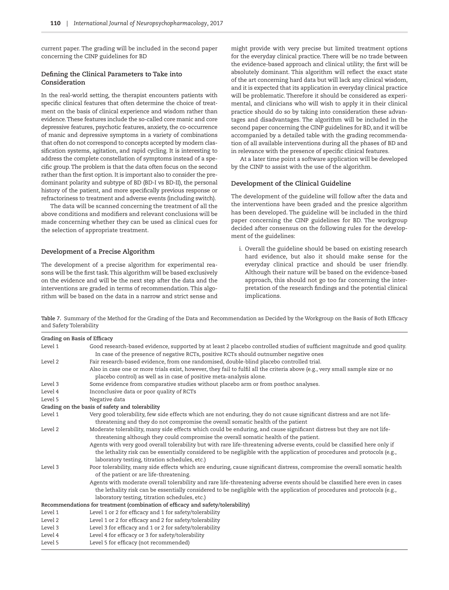current paper. The grading will be included in the second paper concerning the CINP guidelines for BD

## **Defining the Clinical Parameters to Take into Consideration**

In the real-world setting, the therapist encounters patients with specific clinical features that often determine the choice of treatment on the basis of clinical experience and wisdom rather than evidence. These features include the so-called core manic and core depressive features, psychotic features, anxiety, the co-occurrence of manic and depressive symptoms in a variety of combinations that often do not correspond to concepts accepted by modern classification systems, agitation, and rapid cycling. It is interesting to address the complete constellation of symptoms instead of a specific group. The problem is that the data often focus on the second rather than the first option. It is important also to consider the predominant polarity and subtype of BD (BD-I vs BD-II), the personal history of the patient, and more specifically previous response or refractoriness to treatment and adverse events (including switch).

The data will be scanned concerning the treatment of all the above conditions and modifiers and relevant conclusions will be made concerning whether they can be used as clinical cues for the selection of appropriate treatment.

#### **Development of a Precise Algorithm**

The development of a precise algorithm for experimental reasons will be the first task. This algorithm will be based exclusively on the evidence and will be the next step after the data and the interventions are graded in terms of recommendation. This algorithm will be based on the data in a narrow and strict sense and

might provide with very precise but limited treatment options for the everyday clinical practice. There will be no trade between the evidence-based approach and clinical utility; the first will be absolutely dominant. This algorithm will reflect the exact state of the art concerning hard data but will lack any clinical wisdom, and it is expected that its application in everyday clinical practice will be problematic. Therefore it should be considered as experimental, and clinicians who will wish to apply it in their clinical practice should do so by taking into consideration these advantages and disadvantages. The algorithm will be included in the second paper concerning the CINP guidelines for BD, and it will be accompanied by a detailed table with the grading recommendation of all available interventions during all the phases of BD and in relevance with the presence of specific clinical features.

At a later time point a software application will be developed by the CINP to assist with the use of the algorithm.

#### **Development of the Clinical Guideline**

The development of the guideline will follow after the data and the interventions have been graded and the presice algorithm has been developed. The guideline will be included in the third paper concerning the CINP guidelines for BD. The workgroup decided after consensus on the following rules for the development of the guidelines:

i. Overall the guideline should be based on existing research hard evidence, but also it should make sense for the everyday clinical practice and should be user friendly. Although their nature will be based on the evidence-based approach, this should not go too far concerning the interpretation of the research findings and the potential clinical implications.

<span id="page-12-0"></span>

| Table 7. Summary of the Method for the Grading of the Data and Recommendation as Decided by the Workgroup on the Basis of Both Efficacy |  |
|-----------------------------------------------------------------------------------------------------------------------------------------|--|
| and Safety Tolerability                                                                                                                 |  |

| Grading on Basis of Efficacy |                                                                                                                                                                                                                                                                                                           |
|------------------------------|-----------------------------------------------------------------------------------------------------------------------------------------------------------------------------------------------------------------------------------------------------------------------------------------------------------|
| Level 1                      | Good research-based evidence, supported by at least 2 placebo controlled studies of sufficient magnitude and good quality.<br>In case of the presence of negative RCTs, positive RCTs should outnumber negative ones                                                                                      |
| Level 2                      | Fair research-based evidence, from one randomised, double-blind placebo controlled trial.                                                                                                                                                                                                                 |
|                              | Also in case one or more trials exist, however, they fail to fulfil all the criteria above (e.g., very small sample size or no<br>placebo control) as well as in case of positive meta-analysis alone.                                                                                                    |
| Level 3                      | Some evidence from comparative studies without placebo arm or from posthoc analyses.                                                                                                                                                                                                                      |
| Level 4                      | Inconclusive data or poor quality of RCTs                                                                                                                                                                                                                                                                 |
| Level 5                      | Negative data                                                                                                                                                                                                                                                                                             |
|                              | Grading on the basis of safety and tolerability                                                                                                                                                                                                                                                           |
| Level 1                      | Very good tolerability, few side effects which are not enduring, they do not cause significant distress and are not life-<br>threatening and they do not compromise the overall somatic health of the patient                                                                                             |
| Level 2                      | Moderate tolerability, many side effects which could be enduring, and cause significant distress but they are not life-<br>threatening although they could compromise the overall somatic health of the patient.                                                                                          |
|                              | Agents with very good overall tolerability but with rare life-threatening adverse events, could be classified here only if<br>the lethality risk can be essentially considered to be negligible with the application of procedures and protocols (e.g.,<br>laboratory testing, titration schedules, etc.) |
| Level 3                      | Poor tolerability, many side effects which are enduring, cause significant distress, compromise the overall somatic health<br>of the patient or are life-threatening.                                                                                                                                     |
|                              | Agents with moderate overall tolerability and rare life-threatening adverse events should be classified here even in cases                                                                                                                                                                                |
|                              | the lethality risk can be essentially considered to be negligible with the application of procedures and protocols (e.g.,                                                                                                                                                                                 |
|                              | laboratory testing, titration schedules, etc.)                                                                                                                                                                                                                                                            |
|                              | Recommendations for treatment (combination of efficacy and safety/tolerability)                                                                                                                                                                                                                           |
| Level 1                      | Level 1 or 2 for efficacy and 1 for safety/tolerability                                                                                                                                                                                                                                                   |
| Level 2                      | Level 1 or 2 for efficacy and 2 for safety/tolerability                                                                                                                                                                                                                                                   |
| Level 3                      | Level 3 for efficacy and 1 or 2 for safety/tolerability                                                                                                                                                                                                                                                   |
| Level 4                      | Level 4 for efficacy or 3 for safety/tolerability                                                                                                                                                                                                                                                         |
| Level 5                      | Level 5 for efficacy (not recommended)                                                                                                                                                                                                                                                                    |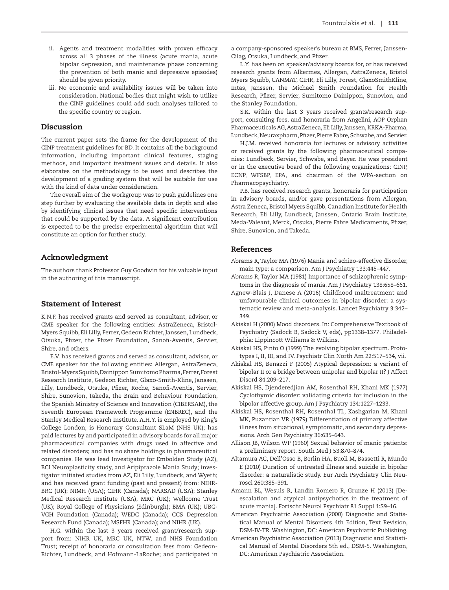- ii. Agents and treatment modalities with proven efficacy across all 3 phases of the illness (acute mania, acute bipolar depression, and maintenance phase concerning the prevention of both manic and depressive episodes) should be given priority.
- iii. No economic and availability issues will be taken into consideration. National bodies that might wish to utilize the CINP guidelines could add such analyses tailored to the specific country or region.

## Discussion

The current paper sets the frame for the development of the CINP treatment guidelines for BD. It contains all the background information, including important clinical features, staging methods, and important treatment issues and details. It also elaborates on the methodology to be used and describes the development of a grading system that will be suitable for use with the kind of data under consideration.

The overall aim of the workgroup was to push guidelines one step further by evaluating the available data in depth and also by identifying clinical issues that need specific interventions that could be supported by the data. A significant contribution is expected to be the precise experimental algorithm that will constitute an option for further study.

## Acknowledgment

The authors thank Professor Guy Goodwin for his valuable input in the authoring of this manuscript.

## Statement of Interest

K.N.F. has received grants and served as consultant, advisor, or CME speaker for the following entities: AstraZeneca, Bristol-Myers Squibb, Eli Lilly, Ferrer, Gedeon Richter, Janssen, Lundbeck, Otsuka, Pfizer, the Pfizer Foundation, Sanofi-Aventis, Servier, Shire, and others.

E.V. has received grants and served as consultant, advisor, or CME speaker for the following entities: Allergan, AstraZeneca, Bristol-Myers Squibb, Dainippon Sumitomo Pharma, Ferrer, Forest Research Institute, Gedeon Richter, Glaxo-Smith-Kline, Janssen, Lilly, Lundbeck, Otsuka, Pfizer, Roche, Sanofi-Aventis, Servier, Shire, Sunovion, Takeda, the Brain and Behaviour Foundation, the Spanish Ministry of Science and Innovation (CIBERSAM), the Seventh European Framework Programme (ENBREC), and the Stanley Medical Research Institute. A.H.Y. is employed by King's College London; is Honorary Consultant SLaM (NHS UK); has paid lectures by and participated in advisory boards for all major pharmaceutical companies with drugs used in affective and related disorders; and has no share holdings in pharmaceutical companies. He was lead Investigator for Embolden Study (AZ), BCI Neuroplasticity study, and Aripiprazole Mania Study; investigator initiated studies from AZ, Eli Lilly, Lundbeck, and Wyeth; and has received grant funding (past and present) from: NIHR-BRC (UK); NIMH (USA); CIHR (Canada); NARSAD (USA); Stanley Medical Research Institute (USA); MRC (UK); Wellcome Trust (UK); Royal College of Physicians (Edinburgh); BMA (UK); UBC-VGH Foundation (Canada); WEDC (Canada); CCS Depression Research Fund (Canada); MSFHR (Canada); and NIHR (UK).

H.G. within the last 3 years received grant/research support from: NIHR UK, MRC UK, NTW, and NHS Foundation Trust; receipt of honoraria or consultation fees from: Gedeon-Richter, Lundbeck, and Hofmann-LaRoche; and participated in

a company-sponsored speaker's bureau at BMS, Ferrer, Janssen-Cilag, Otsuka, Lundbeck, and Pfizer.

L.Y. has been on speaker/advisory boards for, or has received research grants from Alkermes, Allergan, AstraZeneca, Bristol Myers Squibb, CANMAT, CIHR, Eli Lilly, Forest, GlaxoSmithKline, Intas, Janssen, the Michael Smith Foundation for Health Research, Pfizer, Servier, Sumitomo Dainippon, Sunovion, and the Stanley Foundation.

S.K. within the last 3 years received grants/research support, consulting fees, and honoraria from Angelini, AOP Orphan Pharmaceuticals AG, AstraZeneca, Eli Lilly, Janssen, KRKA-Pharma, Lundbeck, Neuraxpharm, Pfizer, Pierre Fabre, Schwabe, and Servier.

H.J.M. received honoraria for lectures or advisory activities or received grants by the following pharmaceutical companies: Lundbeck, Servier, Schwabe, and Bayer. He was president or in the executive board of the following organizations: CINP, ECNP, WFSBP, EPA, and chairman of the WPA-section on Pharmacopsychiatry.

P.B. has received research grants, honoraria for participation in advisory boards, and/or gave presentations from Allergan, Astra Zeneca, Bristol Myers Squibb, Canadian Institute for Health Research, Eli Lilly, Lundbeck, Janssen, Ontario Brain Institute, Meda-Valeant, Merck, Otsuka, Pierre Fabre Medicaments, Pfizer, Shire, Sunovion, and Takeda.

## References

- <span id="page-13-1"></span>Abrams R, Taylor MA (1976) Mania and schizo-affective disorder, main type: a comparison. Am J Psychiatry 133:445–447.
- <span id="page-13-3"></span>Abrams R, Taylor MA (1981) Importance of schizophrenic symptoms in the diagnosis of mania. Am J Psychiatry 138:658–661.
- <span id="page-13-10"></span>Agnew-Blais J, Danese A (2016) Childhood maltreatment and unfavourable clinical outcomes in bipolar disorder: a systematic review and meta-analysis. Lancet Psychiatry 3:342– 349.
- <span id="page-13-4"></span>Akiskal H (2000) Mood disorders. In: Comprehensive Textbook of Psychiatry (Sadock B, Sadock V, eds), pp1338–1377. Philadelphia: Lippincott Williams & Wilkins.
- <span id="page-13-8"></span>Akiskal HS, Pinto O (1999) The evolving bipolar spectrum. Prototypes I, II, III, and IV. Psychiatr Clin North Am 22:517–534, vii.
- <span id="page-13-9"></span>Akiskal HS, Benazzi F (2005) Atypical depression: a variant of bipolar II or a bridge between unipolar and bipolar II? J Affect Disord 84:209–217.
- <span id="page-13-6"></span>Akiskal HS, Djenderedjian AM, Rosenthal RH, Khani MK (1977) Cyclothymic disorder: validating criteria for inclusion in the bipolar affective group. Am J Psychiatry 134:1227–1233.
- <span id="page-13-7"></span>Akiskal HS, Rosenthal RH, Rosenthal TL, Kashgarian M, Khani MK, Puzantian VR (1979) Differentiation of primary affective illness from situational, symptomatic, and secondary depressions. Arch Gen Psychiatry 36:635–643.
- <span id="page-13-2"></span>Allison JB, Wilson WP (1960) Sexual behavior of manic patients: a preliminary report. South Med J 53:870–874.
- <span id="page-13-0"></span>Altamura AC, Dell'Osso B, Berlin HA, Buoli M, Bassetti R, Mundo E (2010) Duration of untreated illness and suicide in bipolar disorder: a naturalistic study. Eur Arch Psychiatry Clin Neurosci 260:385–391.
- <span id="page-13-11"></span>Amann BL, Wesuls R, Landin Romero R, Grunze H (2013) [Deescalation and atypical antipsychotics in the treatment of acute mania]. Fortschr Neurol Psychiatr 81 Suppl 1:S9–16.
- <span id="page-13-12"></span>American Psychiatric Association (2000) Diagnostic and Statistical Manual of Mental Disorders 4th Edition, Text Revision, DSM-IV-TR. Washington, DC: American Psychiatric Publishing.
- <span id="page-13-5"></span>American Psychiatric Association (2013) Diagnostic and Statistical Manual of Mental Disorders 5th ed., DSM-5. Washington, DC: American Psychiatric Association.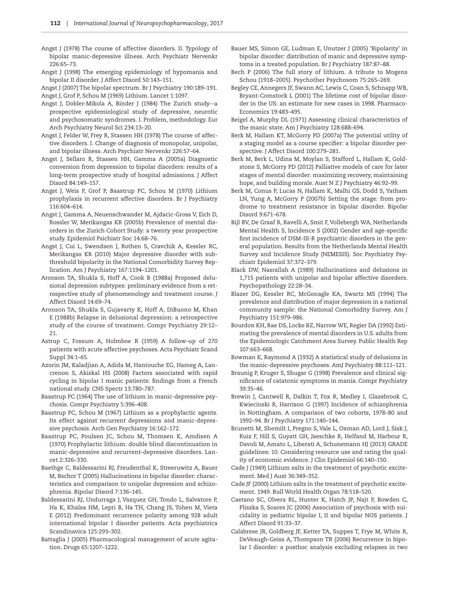- <span id="page-14-19"></span>Angst J (1978) The course of affective disorders. II. Typology of bipolar manic-depressive illness. Arch Psychiatr Nervenkr 226:65–73.
- <span id="page-14-18"></span>Angst J (1998) The emerging epidemiology of hypomania and bipolar II disorder. J Affect Disord 50:143–151.
- <span id="page-14-7"></span><span id="page-14-5"></span>Angst J (2007) The bipolar spectrum. Br J Psychiatry 190:189–191. Angst J, Grof P, Schou M (1969) Lithium. Lancet 1:1097.
- <span id="page-14-26"></span>Angst J, Dobler-Mikola A, Binder J (1984) The Zurich study--a prospective epidemiological study of depressive, neurotic and psychosomatic syndromes. I. Problem, methodology. Eur Arch Psychiatry Neurol Sci 234:13–20.
- <span id="page-14-23"></span>Angst J, Felder W, Frey R, Stassen HH (1978) The course of affective disorders. I. Change of diagnosis of monopolar, unipolar, and bipolar illness. Arch Psychiatr Nervenkr 226:57–64.
- <span id="page-14-8"></span>Angst J, Sellaro R, Stassen HH, Gamma A (2005a) Diagnostic conversion from depression to bipolar disorders: results of a long-term prospective study of hospital admissions. J Affect Disord 84:149–157.
- <span id="page-14-6"></span>Angst J, Weis P, Grof P, Baastrup PC, Schou M (1970) Lithium prophylaxis in recurrent affective disorders. Br J Psychiatry 116:604–614.
- <span id="page-14-27"></span>Angst J, Gamma A, Neuenschwander M, Ajdacic-Gross V, Eich D, Rossler W, Merikangas KR (2005b) Prevalence of mental disorders in the Zurich Cohort Study: a twenty year prospective study. Epidemiol Psichiatr Soc 14:68–76.
- <span id="page-14-22"></span>Angst J, Cui L, Swendsen J, Rothen S, Cravchik A, Kessler RC, Merikangas KR (2010) Major depressive disorder with subthreshold bipolarity in the National Comorbidity Survey Replication. Am J Psychiatry 167:1194–1201.
- <span id="page-14-11"></span>Aronson TA, Shukla S, Hoff A, Cook B (1988a) Proposed delusional depression subtypes: preliminary evidence from a retrospective study of phenomenology and treatment course. J Affect Disord 14:69–74.
- <span id="page-14-12"></span>Aronson TA, Shukla S, Gujavarty K, Hoff A, DiBuono M, Khan E (1988b) Relapse in delusional depression: a retrospective study of the course of treatment. Compr Psychiatry 29:12– 21.
- <span id="page-14-15"></span>Astrup C, Fossum A, Holmboe R (1959) A follow-up of 270 patients with acute affective psychoses. Acta Psychiatr Scand Suppl 34:1–65.
- <span id="page-14-21"></span>Azorin JM, Kaladjian A, Adida M, Hantouche EG, Hameg A, Lancrenon S, Akiskal HS (2008) Factors associated with rapid cycling in bipolar I manic patients: findings from a French national study. CNS Spectr 13:780–787.
- <span id="page-14-3"></span>Baastrup PC (1964) The use of lithium in manic-depressive psychosis. Compr Psychiatry 5:396–408.
- <span id="page-14-4"></span>Baastrup PC, Schou M (1967) Lithium as a prophylactic agents. Its effect against recurrent depressions and manic-depressive psychosis. Arch Gen Psychiatry 16:162–172.
- Baastrup PC, Poulsen JC, Schou M, Thomsen K, Amdisen A (1970) Prophylactic lithium: double blind discontinuation in manic-depressive and recurrent-depressive disorders. Lancet 2:326–330.
- <span id="page-14-10"></span>Baethge C, Baldessarini RJ, Freudenthal K, Streeruwitz A, Bauer M, Bschor T (2005) Hallucinations in bipolar disorder: characteristics and comparison to unipolar depression and schizophrenia. Bipolar Disord 7:136–145.
- <span id="page-14-20"></span>Baldessarini RJ, Undurraga J, Vazquez GH, Tondo L, Salvatore P, Ha K, Khalsa HM, Lepri B, Ha TH, Chang JS, Tohen M, Vieta E (2012) Predominant recurrence polarity among 928 adult international bipolar I disorder patients. Acta psychiatrica Scandinavica 125:293–302.
- <span id="page-14-33"></span>Battaglia J (2005) Pharmacological management of acute agitation. Drugs 65:1207–1222.
- Bauer MS, Simon GE, Ludman E, Unutzer J (2005) 'Bipolarity' in bipolar disorder: distribution of manic and depressive symptoms in a treated population. Br J Psychiatry 187:87–88.
- <span id="page-14-2"></span>Bech P (2006) The full story of lithium. A tribute to Mogens Schou (1918–2005). Psychother Psychosom 75:265–269.
- <span id="page-14-35"></span>Begley CE, Annegers JF, Swann AC, Lewis C, Coan S, Schnapp WB, Bryant-Comstock L (2001) The lifetime cost of bipolar disorder in the US: an estimate for new cases in 1998. Pharmaco-Economics 19:483–495.
- <span id="page-14-13"></span>Beigel A, Murphy DL (1971) Assessing clinical characteristics of the manic state. Am J Psychiatry 128:688–694.
- <span id="page-14-30"></span>Berk M, Hallam KT, McGorry PD (2007a) The potential utility of a staging model as a course specifier: a bipolar disorder perspective. J Affect Disord 100:279–281.
- <span id="page-14-32"></span>Berk M, Berk L, Udina M, Moylan S, Stafford L, Hallam K, Goldstone S, McGorry PD (2012) Palliative models of care for later stages of mental disorder: maximizing recovery, maintaining hope, and building morale. Aust N Z J Psychiatry 46:92–99.
- <span id="page-14-31"></span>Berk M, Conus P, Lucas N, Hallam K, Malhi GS, Dodd S, Yatham LN, Yung A, McGorry P (2007b) Setting the stage: from prodrome to treatment resistance in bipolar disorder. Bipolar Disord 9:671–678.
- <span id="page-14-29"></span>Bijl RV, De Graaf R, Ravelli A, Smit F, Vollebergh WA, Netherlands Mental Health S, Incidence S (2002) Gender and age-specific first incidence of DSM-III-R psychiatric disorders in the general population. Results from the Netherlands Mental Health Survey and Incidence Study (NEMESIS). Soc Psychiatry Psychiatr Epidemiol 37:372–379.
- <span id="page-14-9"></span>Black DW, Nasrallah A (1989) Hallucinations and delusions in 1,715 patients with unipolar and bipolar affective disorders. Psychopathology 22:28–34.
- <span id="page-14-25"></span>Blazer DG, Kessler RC, McGonagle KA, Swartz MS (1994) The prevalence and distribution of major depression in a national community sample: the National Comorbidity Survey. Am J Psychiatry 151:979–986.
- <span id="page-14-24"></span>Bourdon KH, Rae DS, Locke BZ, Narrow WE, Regier DA (1992) Estimating the prevalence of mental disorders in U.S. adults from the Epidemiologic Catchment Area Survey. Public Health Rep 107:663–668.
- <span id="page-14-14"></span>Bowman K, Raymond A (1932) A statistical study of delusions in the manic-depressive psychoses. AmJ Psychiatry 88:111–121.
- <span id="page-14-17"></span>Braunig P, Kruger S, Shugar G (1998) Prevalence and clinical significance of catatonic symptoms in mania. Compr Psychiatry 39:35–46.
- <span id="page-14-28"></span>Brewin J, Cantwell R, Dalkin T, Fox R, Medley I, Glazebrook C, Kwiecinski R, Harrison G (1997) Incidence of schizophrenia in Nottingham. A comparison of two cohorts, 1978–80 and 1992–94. Br J Psychiatry 171:140–144.
- <span id="page-14-36"></span>Brunetti M, Shemilt I, Pregno S, Vale L, Oxman AD, Lord J, Sisk J, Ruiz F, Hill S, Guyatt GH, Jaeschke R, Helfand M, Harbour R, Davoli M, Amato L, Liberati A, Schunemann HJ (2013) GRADE guidelines: 10. Considering resource use and rating the quality of economic evidence. J Clin Epidemiol 66:140–150.
- <span id="page-14-0"></span>Cade J (1949) Lithium salts in the treatment of psychotic excitement. Med J Aust 36:349–352.
- <span id="page-14-1"></span>Cade JF (2000) Lithium salts in the treatment of psychotic excitement. 1949. Bull World Health Organ 78:518–520.
- <span id="page-14-16"></span>Caetano SC, Olvera RL, Hunter K, Hatch JP, Najt P, Bowden C, Pliszka S, Soares JC (2006) Association of psychosis with suicidality in pediatric bipolar I, II and bipolar NOS patients. J Affect Disord 91:33–37.
- <span id="page-14-34"></span>Calabrese JR, Goldberg JF, Ketter TA, Suppes T, Frye M, White R, DeVeaugh-Geiss A, Thompson TR (2006) Recurrence in bipolar I disorder: a posthoc analysis excluding relapses in two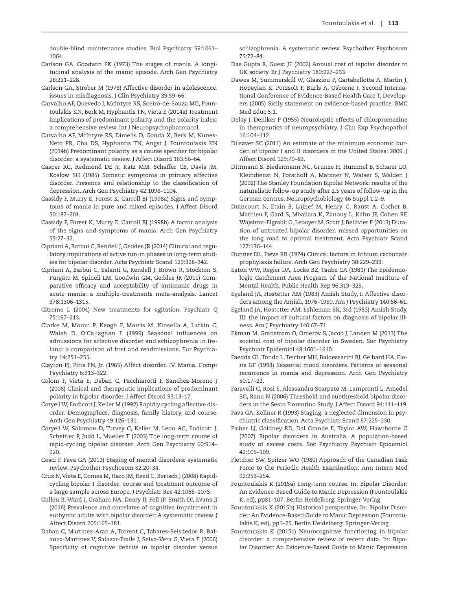double-blind maintenance studies. Biol Psychiatry 59:1061– 1064.

- <span id="page-15-8"></span>Carlson GA, Goodwin FK (1973) The stages of mania. A longitudinal analysis of the manic episode. Arch Gen Psychiatry 28:221–228.
- <span id="page-15-5"></span>Carlson GA, Strober M (1978) Affective disorder in adolescence: issues in misdiagnosis. J Clin Psychiatry 39:59–66.
- <span id="page-15-13"></span>Carvalho AF, Quevedo J, McIntyre RS, Soeiro-de-Souza MG, Fountoulakis KN, Berk M, Hyphantis TN, Vieta E (2014a) Treatment implications of predominant polarity and the polarity index: a comprehensive review. Int J Neuropsychopharmacol.
- <span id="page-15-14"></span>Carvalho AF, McIntyre RS, Dimelis D, Gonda X, Berk M, Nunes-Neto PR, Cha DS, Hyphantis TN, Angst J, Fountoulakis KN (2014b) Predominant polarity as a course specifier for bipolar disorder: a systematic review. J Affect Disord 163:56–64.
- <span id="page-15-6"></span>Casper RC, Redmond DE Jr, Katz MM, Schaffer CB, Davis JM, Koslow SH (1985) Somatic symptoms in primary affective disorder. Presence and relationship to the classification of depression. Arch Gen Psychiatry 42:1098–1104.
- <span id="page-15-9"></span>Cassidy F, Murry E, Forest K, Carroll BJ (1998a) Signs and symptoms of mania in pure and mixed episodes. J Affect Disord 50:187–201.
- <span id="page-15-10"></span>Cassidy F, Forest K, Murry E, Carroll BJ (1998b) A factor analysis of the signs and symptoms of mania. Arch Gen Psychiatry 55:27–32.
- <span id="page-15-28"></span>Cipriani A, Barbui C, Rendell J, Geddes JR (2014) Clinical and regulatory implications of active run-in phases in long-term studies for bipolar disorder. Acta Psychiatr Scand 129:328–342.
- <span id="page-15-33"></span>Cipriani A, Barbui C, Salanti G, Rendell J, Brown R, Stockton S, Purgato M, Spineli LM, Goodwin GM, Geddes JR (2011) Comparative efficacy and acceptability of antimanic drugs in acute mania: a multiple-treatments meta-analysis. Lancet 378:1306–1315.
- <span id="page-15-27"></span>Citrome L (2004) New treatments for agitation. Psychiatr Q 75:197–213.
- <span id="page-15-16"></span>Clarke M, Moran P, Keogh F, Morris M, Kinsella A, Larkin C, Walsh D, O'Callaghan E (1999) Seasonal influences on admissions for affective disorder and schizophrenia in Ireland: a comparison of first and readmissions. Eur Psychiatry 14:251–255.
- <span id="page-15-7"></span>Clayton PJ, Pitts FN, Jr. (1965) Affect disorder. IV. Mania. Compr Psychiatry 6:313–322.
- <span id="page-15-12"></span>Colom F, Vieta E, Daban C, Pacchiarotti I, Sanchez-Moreno J (2006) Clinical and therapeutic implications of predominant polarity in bipolar disorder. J Affect Disord 93:13–17.
- <span id="page-15-18"></span>Coryell W, Endicott J, Keller M (1992) Rapidly cycling affective disorder. Demographics, diagnosis, family history, and course. Arch Gen Psychiatry 49:126–131.
- <span id="page-15-11"></span>Coryell W, Solomon D, Turvey C, Keller M, Leon AC, Endicott J, Schettler P, Judd L, Mueller T (2003) The long-term course of rapid-cycling bipolar disorder. Arch Gen Psychiatry 60:914– 920.
- <span id="page-15-26"></span>Cosci F, Fava GA (2013) Staging of mental disorders: systematic review. Psychother Psychosom 82:20–34.
- <span id="page-15-19"></span>Cruz N, Vieta E, Comes M, Haro JM, Reed C, Bertsch J (2008) Rapidcycling bipolar I disorder: course and treatment outcome of a large sample across Europe. J Psychiatr Res 42:1068–1075.
- <span id="page-15-21"></span>Cullen B, Ward J, Graham NA, Deary IJ, Pell JP, Smith DJ, Evans JJ (2016) Prevalence and correlates of cognitive impairment in euthymic adults with bipolar disorder: A systematic review. J Affect Disord 205:165–181.
- Daban C, Martinez-Aran A, Torrent C, Tabares-Seisdedos R, Balanza-Martinez V, Salazar-Fraile J, Selva-Vera G, Vieta E (2006) Specificity of cognitive deficits in bipolar disorder versus

schizophrenia. A systematic review. Psychother Psychosom 75:72–84.

- <span id="page-15-29"></span>Das Gupta R, Guest JF (2002) Annual cost of bipolar disorder to UK society. Br J Psychiatry 180:227–233.
- <span id="page-15-35"></span>Dawes M, Summerskill W, Glasziou P, Cartabellotta A, Martin J, Hopayian K, Porzsolt F, Burls A, Osborne J, Second International Conference of Evidence-Based Health Care T, Developers (2005) Sicily statement on evidence-based practice. BMC Med Educ 5:1.
- <span id="page-15-1"></span>Delay J, Deniker P (1955) Neuroleptic effects of chlorpromazine in therapeutics of neuropsychiatry. J Clin Exp Psychopathol 16:104–112.
- <span id="page-15-30"></span>Dilsaver SC (2011) An estimate of the minimum economic burden of bipolar I and II disorders in the United States: 2009. J Affect Disord 129:79–83.
- <span id="page-15-20"></span>Dittmann S, Biedermann NC, Grunze H, Hummel B, Scharer LO, Kleindienst N, Forsthoff A, Matzner N, Walser S, Walden J (2002) The Stanley Foundation Bipolar Network: results of the naturalistic follow-up study after 2.5 years of follow-up in the German centres. Neuropsychobiology 46 Suppl 1:2–9.
- <span id="page-15-4"></span>Drancourt N, Etain B, Lajnef M, Henry C, Raust A, Cochet B, Mathieu F, Gard S, Mbailara K, Zanouy L, Kahn JP, Cohen RF, Wajsbrot-Elgrabli O, Leboyer M, Scott J, Bellivier F (2013) Duration of untreated bipolar disorder: missed opportunities on the long road to optimal treatment. Acta Psychiatr Scand 127:136–144.
- <span id="page-15-17"></span>Dunner DL, Fieve RR (1974) Clinical factors in lithium carbonate prophylaxis failure. Arch Gen Psychiatry 30:229–233.
- <span id="page-15-23"></span>Eaton WW, Regier DA, Locke BZ, Taube CA (1981) The Epidemiologic Catchment Area Program of the National Institute of Mental Health. Public Health Rep 96:319–325.
- <span id="page-15-22"></span>Egeland JA, Hostetter AM (1983) Amish Study, I: Affective disorders among the Amish, 1976–1980. Am J Psychiatry 140:56–61.
- Egeland JA, Hostetter AM, Eshleman SK, 3rd (1983) Amish Study, III: the impact of cultural factors on diagnosis of bipolar illness. Am J Psychiatry 140:67–71.
- <span id="page-15-32"></span>Ekman M, Granstrom O, Omerov S, Jacob J, Landen M (2013) The societal cost of bipolar disorder in Sweden. Soc Psychiatry Psychiatr Epidemiol 48:1601–1610.
- <span id="page-15-15"></span>Faedda GL, Tondo L, Teicher MH, Baldessarini RJ, Gelbard HA, Floris GF (1993) Seasonal mood disorders. Patterns of seasonal recurrence in mania and depression. Arch Gen Psychiatry 50:17–23.
- <span id="page-15-24"></span>Faravelli C, Rosi S, Alessandra Scarpato M, Lampronti L, Amedei SG, Rana N (2006) Threshold and subthreshold bipolar disorders in the Sesto Fiorentino Study. J Affect Disord 94:111–119.
- <span id="page-15-25"></span>Fava GA, Kellner R (1993) Staging: a neglected dimension in psychiatric classification. Acta Psychiatr Scand 87:225–230.
- <span id="page-15-31"></span>Fisher LJ, Goldney RD, Dal Grande E, Taylor AW, Hawthorne G (2007) Bipolar disorders in Australia. A population-based study of excess costs. Soc Psychiatry Psychiatr Epidemiol 42:105–109.
- <span id="page-15-34"></span>Fletcher SW, Spitzer WO (1980) Approach of the Canadian Task Force to the Periodic Health Examination. Ann Intern Med 92:253–254.
- <span id="page-15-2"></span>Fountoulakis K (2015a) Long-term course. In: Bipolar Disorder: An Evidence-Based Guide to Manic Depression (Fountoulakis K, ed), pp81–107. Berlin Heidelberg: Springer-Verlag.
- <span id="page-15-0"></span>Fountoulakis K (2015b) Historical perspective. In: Bipolar Disorder: An Evidence-Based Guide to Manic Depression (Fountoulakis K, ed), pp1–25. Berlin Heidelberg: Springer-Verlag.
- <span id="page-15-3"></span>Fountoulakis K (2015c) Neurocognitive functioning in bipolar disorder: a comprehensive review of recent data. In: Bipolar Disorder: An Evidence-Based Guide to Manic Depression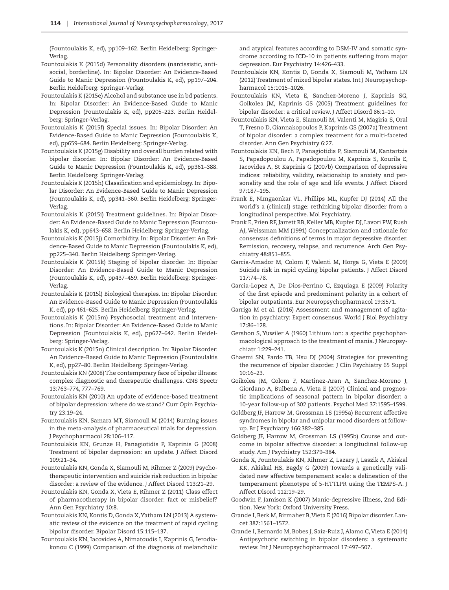(Fountoulakis K, ed), pp109–162. Berlin Heidelberg: Springer-Verlag.

- <span id="page-16-3"></span>Fountoulakis K (2015d) Personality disorders (narcissistic, antisocial, borderline). In: Bipolar Disorder: An Evidence-Based Guide to Manic Depression (Fountoulakis K, ed), pp197–204. Berlin Heidelberg: Springer-Verlag.
- <span id="page-16-4"></span>Fountoulakis K (2015e) Alcohol and substance use in bd patients. In: Bipolar Disorder: An Evidence-Based Guide to Manic Depression (Fountoulakis K, ed), pp205–223. Berlin Heidelberg: Springer-Verlag.
- <span id="page-16-28"></span>Fountoulakis K (2015f) Special issues. In: Bipolar Disorder: An Evidence-Based Guide to Manic Depression (Fountoulakis K, ed), pp659–684. Berlin Heidelberg: Springer-Verlag.
- <span id="page-16-32"></span>Fountoulakis K (2015g) Disability and overall burden related with bipolar disorder. In: Bipolar Disorder: An Evidence-Based Guide to Manic Depression (Fountoulakis K, ed), pp361–388. Berlin Heidelberg: Springer-Verlag.
- <span id="page-16-13"></span>Fountoulakis K (2015h) Classification and epidemiology. In: Bipolar Disorder: An Evidence-Based Guide to Manic Depression (Fountoulakis K, ed), pp341–360. Berlin Heidelberg: Springer-Verlag.
- <span id="page-16-0"></span>Fountoulakis K (2015i) Treatment guidelines. In: Bipolar Disorder: An Evidence-Based Guide to Manic Depression (Fountoulakis K, ed), pp643–658. Berlin Heidelberg: Springer-Verlag.
- <span id="page-16-5"></span>Fountoulakis K (2015j) Comorbidity. In: Bipolar Disorder: An Evidence-Based Guide to Manic Depression (Fountoulakis K, ed), pp225–340. Berlin Heidelberg: Springer-Verlag.
- <span id="page-16-16"></span>Fountoulakis K (2015k) Staging of bipolar disorder. In: Bipolar Disorder: An Evidence-Based Guide to Manic Depression (Fountoulakis K, ed), pp437–459. Berlin Heidelberg: Springer-Verlag.
- Fountoulakis K (2015l) Biological therapies. In: Bipolar Disorder: An Evidence-Based Guide to Manic Depression (Fountoulakis K, ed), pp 461–625. Berlin Heidelberg: Springer-Verlag.
- Fountoulakis K (2015m) Psychosocial treatment and interventions. In: Bipolar Disorder: An Evidence-Based Guide to Manic Depression (Fountoulakis K, ed), pp627–642. Berlin Heidelberg: Springer-Verlag.
- <span id="page-16-6"></span>Fountoulakis K (2015n) Clinical description. In: Bipolar Disorder: An Evidence-Based Guide to Manic Depression (Fountoulakis K, ed), pp27–80. Berlin Heidelberg: Springer-Verlag.
- <span id="page-16-15"></span>Fountoulakis KN (2008) The contemporary face of bipolar illness: complex diagnostic and therapeutic challenges. CNS Spectr 13:763–774, 777–769.
- <span id="page-16-24"></span>Fountoulakis KN (2010) An update of evidence-based treatment of bipolar depression: where do we stand? Curr Opin Psychiatry 23:19–24.
- <span id="page-16-33"></span>Fountoulakis KN, Samara MT, Siamouli M (2014) Burning issues in the meta-analysis of pharmaceutical trials for depression. J Psychopharmacol 28:106–117.
- <span id="page-16-22"></span>Fountoulakis KN, Grunze H, Panagiotidis P, Kaprinis G (2008) Treatment of bipolar depression: an update. J Affect Disord 109:21–34.
- <span id="page-16-23"></span>Fountoulakis KN, Gonda X, Siamouli M, Rihmer Z (2009) Psychotherapeutic intervention and suicide risk reduction in bipolar disorder: a review of the evidence. J Affect Disord 113:21–29.
- <span id="page-16-17"></span>Fountoulakis KN, Gonda X, Vieta E, Rihmer Z (2011) Class effect of pharmacotherapy in bipolar disorder: fact or misbelief? Ann Gen Psychiatry 10:8.
- <span id="page-16-26"></span>Fountoulakis KN, Kontis D, Gonda X, Yatham LN (2013) A systematic review of the evidence on the treatment of rapid cycling bipolar disorder. Bipolar Disord 15:115–137.
- <span id="page-16-14"></span>Fountoulakis KN, Iacovides A, Nimatoudis I, Kaprinis G, Ierodiakonou C (1999) Comparison of the diagnosis of melancholic

and atypical features according to DSM-IV and somatic syndrome according to ICD-10 in patients suffering from major depression. Eur Psychiatry 14:426–433.

- <span id="page-16-25"></span>Fountoulakis KN, Kontis D, Gonda X, Siamouli M, Yatham LN (2012) Treatment of mixed bipolar states. Int J Neuropsychopharmacol 15:1015–1026.
- <span id="page-16-19"></span>Fountoulakis KN, Vieta E, Sanchez-Moreno J, Kaprinis SG, Goikolea JM, Kaprinis GS (2005) Treatment guidelines for bipolar disorder: a critical review. J Affect Disord 86:1–10.
- <span id="page-16-20"></span>Fountoulakis KN, Vieta E, Siamouli M, Valenti M, Magiria S, Oral T, Fresno D, Giannakopoulos P, Kaprinis GS (2007a) Treatment of bipolar disorder: a complex treatment for a multi-faceted disorder. Ann Gen Psychiatry 6:27.
- <span id="page-16-21"></span>Fountoulakis KN, Bech P, Panagiotidis P, Siamouli M, Kantartzis S, Papadopoulou A, Papadopoulou M, Kaprinis S, Kourila E, Iacovides A, St Kaprinis G (2007b) Comparison of depressive indices: reliability, validity, relationship to anxiety and personality and the role of age and life events. J Affect Disord 97:187–195.
- <span id="page-16-18"></span>Frank E, Nimgaonkar VL, Phillips ML, Kupfer DJ (2014) All the world's a (clinical) stage: rethinking bipolar disorder from a longitudinal perspective. Mol Psychiatry.
- <span id="page-16-29"></span>Frank E, Prien RF, Jarrett RB, Keller MB, Kupfer DJ, Lavori PW, Rush AJ, Weissman MM (1991) Conceptualization and rationale for consensus definitions of terms in major depressive disorder. Remission, recovery, relapse, and recurrence. Arch Gen Psychiatry 48:851–855.
- <span id="page-16-9"></span>Garcia-Amador M, Colom F, Valenti M, Horga G, Vieta E (2009) Suicide risk in rapid cycling bipolar patients. J Affect Disord 117:74–78.
- <span id="page-16-8"></span>Garcia-Lopez A, De Dios-Perrino C, Ezquiaga E (2009) Polarity of the first episode and predominant polarity in a cohort of bipolar outpatients. Eur Neuropsychopharmacol 19:S571.
- <span id="page-16-27"></span>Garriga M et al. (2016) Assessment and management of agitation in psychiatry: Expert consensus. World J Biol Psychiatry 17:86–128.
- <span id="page-16-1"></span>Gershon S, Yuwiler A (1960) Lithium ion: a specific psychopharmacological approach to the treatment of mania. J Neuropsychiatr 1:229–241.
- <span id="page-16-30"></span>Ghaemi SN, Pardo TB, Hsu DJ (2004) Strategies for preventing the recurrence of bipolar disorder. J Clin Psychiatry 65 Suppl 10:16–23.
- <span id="page-16-10"></span>Goikolea JM, Colom F, Martinez-Aran A, Sanchez-Moreno J, Giordano A, Bulbena A, Vieta E (2007) Clinical and prognostic implications of seasonal pattern in bipolar disorder: a 10-year follow-up of 302 patients. Psychol Med 37:1595–1599.
- <span id="page-16-11"></span>Goldberg JF, Harrow M, Grossman LS (1995a) Recurrent affective syndromes in bipolar and unipolar mood disorders at followup. Br J Psychiatry 166:382–385.
- <span id="page-16-12"></span>Goldberg JF, Harrow M, Grossman LS (1995b) Course and outcome in bipolar affective disorder: a longitudinal follow-up study. Am J Psychiatry 152:379–384.
- Gonda X, Fountoulakis KN, Rihmer Z, Lazary J, Laszik A, Akiskal KK, Akiskal HS, Bagdy G (2009) Towards a genetically validated new affective temperament scale: a delineation of the temperament phenotype of 5-HTTLPR using the TEMPS-A. J Affect Disord 112:19–29.
- <span id="page-16-7"></span>Goodwin F, Jamison K (2007) Manic-depressive illness, 2nd Edition. New York: Oxford University Press.
- <span id="page-16-2"></span>Grande I, Berk M, Birmaher B, Vieta E (2016) Bipolar disorder. Lancet 387:1561–1572.
- <span id="page-16-31"></span>Grande I, Bernardo M, Bobes J, Saiz-Ruiz J, Alamo C, Vieta E (2014) Antipsychotic switching in bipolar disorders: a systematic review. Int J Neuropsychopharmacol 17:497–507.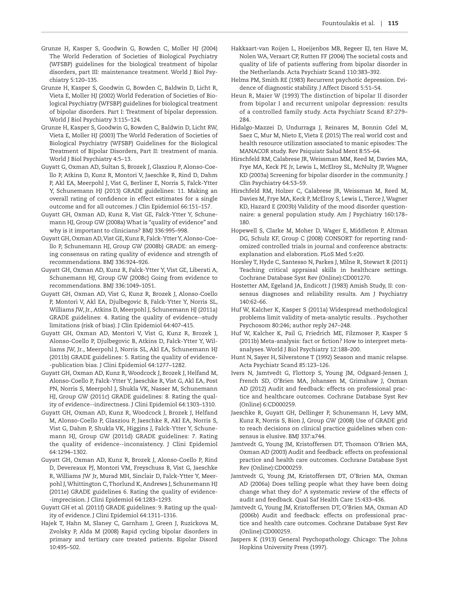- <span id="page-17-17"></span>Grunze H, Kasper S, Goodwin G, Bowden C, Moller HJ (2004) The World Federation of Societies of Biological Psychiatry (WFSBP) guidelines for the biological treatment of bipolar disorders, part III: maintenance treatment. World J Biol Psychiatry 5:120–135.
- Grunze H, Kasper S, Goodwin G, Bowden C, Baldwin D, Licht R, Vieta E, Moller HJ (2002) World Federation of Societies of Biological Psychiatry (WFSBP) guidelines for biological treatment of bipolar disorders. Part I: Treatment of bipolar depression. World J Biol Psychiatry 3:115–124.
- <span id="page-17-16"></span>Grunze H, Kasper S, Goodwin G, Bowden C, Baldwin D, Licht RW, Vieta E, Moller HJ (2003) The World Federation of Societies of Biological Psychiatry (WFSBP) Guidelines for the Biological Treatment of Bipolar Disorders, Part II: treatment of mania. World J Biol Psychiatry 4:5–13.
- Guyatt G, Oxman AD, Sultan S, Brozek J, Glasziou P, Alonso-Coello P, Atkins D, Kunz R, Montori V, Jaeschke R, Rind D, Dahm P, Akl EA, Meerpohl J, Vist G, Berliner E, Norris S, Falck-Ytter Y, Schunemann HJ (2013) GRADE guidelines: 11. Making an overall rating of confidence in effect estimates for a single outcome and for all outcomes. J Clin Epidemiol 66:151–157.
- <span id="page-17-26"></span>Guyatt GH, Oxman AD, Kunz R, Vist GE, Falck-Ytter Y, Schunemann HJ, Group GW (2008a) What is "quality of evidence" and why is it important to clinicians? BMJ 336:995–998.
- <span id="page-17-18"></span>Guyatt GH, Oxman AD, Vist GE, Kunz R, Falck-Ytter Y, Alonso-Coello P, Schunemann HJ, Group GW (2008b) GRADE: an emerging consensus on rating quality of evidence and strength of recommendations. BMJ 336:924–926.
- <span id="page-17-27"></span>Guyatt GH, Oxman AD, Kunz R, Falck-Ytter Y, Vist GE, Liberati A, Schunemann HJ, Group GW (2008c) Going from evidence to recommendations. BMJ 336:1049–1051.
- <span id="page-17-20"></span>Guyatt GH, Oxman AD, Vist G, Kunz R, Brozek J, Alonso-Coello P, Montori V, Akl EA, Djulbegovic B, Falck-Ytter Y, Norris SL, Williams JW, Jr., Atkins D, Meerpohl J, Schunemann HJ (2011a) GRADE guidelines: 4. Rating the quality of evidence--study limitations (risk of bias). J Clin Epidemiol 64:407–415.
- <span id="page-17-21"></span>Guyatt GH, Oxman AD, Montori V, Vist G, Kunz R, Brozek J, Alonso-Coello P, Djulbegovic B, Atkins D, Falck-Ytter Y, Williams JW, Jr., Meerpohl J, Norris SL, Akl EA, Schunemann HJ (2011b) GRADE guidelines: 5. Rating the quality of evidence- -publication bias. J Clini Epidemiol 64:1277–1282.
- <span id="page-17-22"></span>Guyatt GH, Oxman AD, Kunz R, Woodcock J, Brozek J, Helfand M, Alonso-Coello P, Falck-Ytter Y, Jaeschke R, Vist G, Akl EA, Post PN, Norris S, Meerpohl J, Shukla VK, Nasser M, Schunemann HJ, Group GW (2011c) GRADE guidelines: 8. Rating the quality of evidence--indirectness. J Clini Epidemiol 64:1303–1310.
- <span id="page-17-23"></span>Guyatt GH, Oxman AD, Kunz R, Woodcock J, Brozek J, Helfand M, Alonso-Coello P, Glasziou P, Jaeschke R, Akl EA, Norris S, Vist G, Dahm P, Shukla VK, Higgins J, Falck-Ytter Y, Schunemann HJ, Group GW (2011d) GRADE guidelines: 7. Rating the quality of evidence--inconsistency. J Clini Epidemiol 64:1294–1302.
- <span id="page-17-24"></span>Guyatt GH, Oxman AD, Kunz R, Brozek J, Alonso-Coello P, Rind D, Devereaux PJ, Montori VM, Freyschuss B, Vist G, Jaeschke R, Williams JW Jr, Murad MH, Sinclair D, Falck-Ytter Y, Meerpohl J, Whittington C, Thorlund K, Andrews J, Schunemann HJ (2011e) GRADE guidelines 6. Rating the quality of evidence- -imprecision. J Clini Epidemiol 64:1283–1293.
- <span id="page-17-25"></span>Guyatt GH et al. (2011f) GRADE guidelines: 9. Rating up the quality of evidence. J Clini Epidemiol 64:1311–1316.
- <span id="page-17-3"></span>Hajek T, Hahn M, Slaney C, Garnham J, Green J, Ruzickova M, Zvolsky P, Alda M (2008) Rapid cycling bipolar disorders in primary and tertiary care treated patients. Bipolar Disord 10:495–502.
- <span id="page-17-7"></span>Hakkaart-van Roijen L, Hoeijenbos MB, Regeer EJ, ten Have M, Nolen WA, Veraart CP, Rutten FF (2004) The societal costs and quality of life of patients suffering from bipolar disorder in the Netherlands. Acta Psychiatr Scand 110:383–392.
- <span id="page-17-1"></span>Helms PM, Smith RE (1983) Recurrent psychotic depression. Evidence of diagnostic stability. J Affect Disord 5:51–54.
- <span id="page-17-4"></span>Heun R, Maier W (1993) The distinction of bipolar II disorder from bipolar I and recurrent unipolar depression: results of a controlled family study. Acta Psychiatr Scand 87:279– 284.
- <span id="page-17-8"></span>Hidalgo-Mazzei D, Undurraga J, Reinares M, Bonnin Cdel M, Saez C, Mur M, Nieto E, Vieta E (2015) The real world cost and health resource utilization associated to manic episodes: The MANACOR study. Rev Psiquiatr Salud Ment 8:55–64.
- <span id="page-17-5"></span>Hirschfeld RM, Calabrese JR, Weissman MM, Reed M, Davies MA, Frye MA, Keck PE Jr, Lewis L, McElroy SL, McNulty JP, Wagner KD (2003a) Screening for bipolar disorder in the community. J Clin Psychiatry 64:53–59.
- <span id="page-17-6"></span>Hirschfeld RM, Holzer C, Calabrese JR, Weissman M, Reed M, Davies M, Frye MA, Keck P, McElroy S, Lewis L, Tierce J, Wagner KD, Hazard E (2003b) Validity of the mood disorder questionnaire: a general population study. Am J Psychiatry 160:178– 180.
- <span id="page-17-28"></span>Hopewell S, Clarke M, Moher D, Wager E, Middleton P, Altman DG, Schulz KF, Group C (2008) CONSORT for reporting randomized controlled trials in journal and conference abstracts: explanation and elaboration. PLoS Med 5:e20.
- <span id="page-17-11"></span>Horsley T, Hyde C, Santesso N, Parkes J, Milne R, Stewart R (2011) Teaching critical appraisal skills in healthcare settings. Cochrane Database Syst Rev (Online):CD001270.
- Hostetter AM, Egeland JA, Endicott J (1983) Amish Study, II: consensus diagnoses and reliability results. Am J Psychiatry 140:62–66.
- <span id="page-17-9"></span>Huf W, Kalcher K, Kasper S (2011a) Widespread methodological problems limit validity of meta-analytic results. . Psychother Psychosom 80:246; author reply 247–248.
- <span id="page-17-10"></span>Huf W, Kalcher K, Pail G, Friedrich ME, Filzmoser P, Kasper S (2011b) Meta-analysis: fact or fiction? How to interpret metaanalyses. World J Biol Psychiatry 12:188–200.
- <span id="page-17-2"></span>Hunt N, Sayer H, Silverstone T (1992) Season and manic relapse. Acta Psychiatr Scand 85:123–126.
- <span id="page-17-15"></span>Ivers N, Jamtvedt G, Flottorp S, Young JM, Odgaard-Jensen J, French SD, O'Brien MA, Johansen M, Grimshaw J, Oxman AD (2012) Audit and feedback: effects on professional practice and healthcare outcomes. Cochrane Database Syst Rev (Online) 6:CD000259.
- <span id="page-17-19"></span>Jaeschke R, Guyatt GH, Dellinger P, Schunemann H, Levy MM, Kunz R, Norris S, Bion J, Group GW (2008) Use of GRADE grid to reach decisions on clinical practice guidelines when consensus is elusive. BMJ 337:a744.
- <span id="page-17-12"></span>Jamtvedt G, Young JM, Kristoffersen DT, Thomson O'Brien MA, Oxman AD (2003) Audit and feedback: effects on professional practice and health care outcomes. Cochrane Database Syst Rev (Online):CD000259.
- <span id="page-17-13"></span>Jamtvedt G, Young JM, Kristoffersen DT, O'Brien MA, Oxman AD (2006a) Does telling people what they have been doing change what they do? A systematic review of the effects of audit and feedback. Qual Saf Health Care 15:433–436.
- <span id="page-17-14"></span>Jamtvedt G, Young JM, Kristoffersen DT, O'Brien MA, Oxman AD (2006b) Audit and feedback: effects on professional practice and health care outcomes. Cochrane Database Syst Rev (Online):CD000259.
- <span id="page-17-0"></span>Jaspers K (1913) General Psychopathology. Chicago: The Johns Hopkins University Press (1997).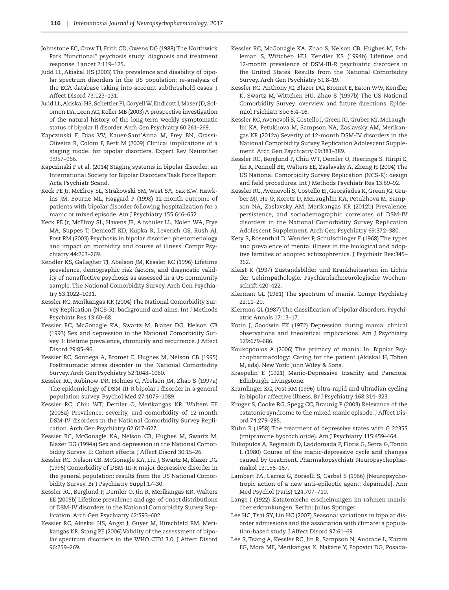- <span id="page-18-1"></span>Johnstone EC, Crow TJ, Frith CD, Owens DG (1988) The Northwick Park "functional" psychosis study: diagnosis and treatment response. Lancet 2:119–125.
- <span id="page-18-19"></span>Judd LL, Akiskal HS (2003) The prevalence and disability of bipolar spectrum disorders in the US population: re-analysis of the ECA database taking into account subthreshold cases. J Affect Disord 73:123–131.
- Judd LL, Akiskal HS, Schettler PJ, Coryell W, Endicott J, Maser JD, Solomon DA, Leon AC, Keller MB (2003) A prospective investigation of the natural history of the long-term weekly symptomatic status of bipolar II disorder. Arch Gen Psychiatry 60:261–269.
- <span id="page-18-32"></span>Kapczinski F, Dias VV, Kauer-Sant'Anna M, Frey BN, Grassi-Oliveira R, Colom F, Berk M (2009) Clinical implications of a staging model for bipolar disorders. Expert Rev Neurother 9:957–966.
- <span id="page-18-33"></span>Kapczinski F et al. (2014) Staging systems in bipolar disorder: an International Society for Bipolar Disorders Task Force Report. Acta Psychiatr Scand.
- <span id="page-18-13"></span>Keck PE Jr, McElroy SL, Strakowski SM, West SA, Sax KW, Hawkins JM, Bourne ML, Haggard P (1998) 12-month outcome of patients with bipolar disorder following hospitalization for a manic or mixed episode. Am J Psychiatry 155:646–652.
- <span id="page-18-6"></span>Keck PE Jr, McElroy SL, Havens JR, Altshuler LL, Nolen WA, Frye MA, Suppes T, Denicoff KD, Kupka R, Leverich GS, Rush AJ, Post RM (2003) Psychosis in bipolar disorder: phenomenology and impact on morbidity and course of illness. Compr Psychiatry 44:263–269.
- <span id="page-18-24"></span>Kendler KS, Gallagher TJ, Abelson JM, Kessler RC (1996) Lifetime prevalence, demographic risk factors, and diagnostic validity of nonaffective psychosis as assessed in a US community sample. The National Comorbidity Survey. Arch Gen Psychiatry 53:1022–1031.
- <span id="page-18-26"></span>Kessler RC, Merikangas KR (2004) The National Comorbidity Survey Replication (NCS-R): background and aims. Int J Methods Psychiatr Res 13:60–68.
- <span id="page-18-20"></span>Kessler RC, McGonagle KA, Swartz M, Blazer DG, Nelson CB (1993) Sex and depression in the National Comorbidity Survey. I: lifetime prevalence, chronicity and recurrence. J Affect Disord 29:85–96.
- <span id="page-18-23"></span>Kessler RC, Sonnega A, Bromet E, Hughes M, Nelson CB (1995) Posttraumatic stress disorder in the National Comorbidity Survey. Arch Gen Psychiatry 52:1048–1060.
- <span id="page-18-18"></span>Kessler RC, Rubinow DR, Holmes C, Abelson JM, Zhao S (1997a) The epidemiology of DSM-III-R bipolar I disorder in a general population survey. Psychol Med 27:1079–1089.
- <span id="page-18-27"></span>Kessler RC, Chiu WT, Demler O, Merikangas KR, Walters EE (2005a) Prevalence, severity, and comorbidity of 12-month DSM-IV disorders in the National Comorbidity Survey Replication. Arch Gen Psychiatry 62:617–627.
- <span id="page-18-21"></span>Kessler RC, McGonagle KA, Nelson CB, Hughes M, Swartz M, Blazer DG (1994a) Sex and depression in the National Comorbidity Survey. II: Cohort effects. J Affect Disord 30:15–26.
- Kessler RC, Nelson CB, McGonagle KA, Liu J, Swartz M, Blazer DG (1996) Comorbidity of DSM-III-R major depressive disorder in the general population: results from the US National Comorbidity Survey. Br J Psychiatry Suppl:17–30.
- <span id="page-18-28"></span>Kessler RC, Berglund P, Demler O, Jin R, Merikangas KR, Walters EE (2005b) Lifetime prevalence and age-of-onset distributions of DSM-IV disorders in the National Comorbidity Survey Replication. Arch Gen Psychiatry 62:593–602.
- <span id="page-18-31"></span>Kessler RC, Akiskal HS, Angst J, Guyer M, Hirschfeld RM, Merikangas KR, Stang PE (2006) Validity of the assessment of bipolar spectrum disorders in the WHO CIDI 3.0. J Affect Disord 96:259–269.
- <span id="page-18-22"></span>Kessler RC, McGonagle KA, Zhao S, Nelson CB, Hughes M, Eshleman S, Wittchen HU, Kendler KS (1994b) Lifetime and 12-month prevalence of DSM-III-R psychiatric disorders in the United States. Results from the National Comorbidity Survey. Arch Gen Psychiatry 51:8–19.
- <span id="page-18-25"></span>Kessler RC, Anthony JC, Blazer DG, Bromet E, Eaton WW, Kendler K, Swartz M, Wittchen HU, Zhao S (1997b) The US National Comorbidity Survey: overview and future directions. Epidemiol Psichiatr Soc 6:4–16.
- <span id="page-18-29"></span>Kessler RC, Avenevoli S, Costello J, Green JG, Gruber MJ, McLaughlin KA, Petukhova M, Sampson NA, Zaslavsky AM, Merikangas KR (2012a) Severity of 12-month DSM-IV disorders in the National Comorbidity Survey Replication Adolescent Supplement. Arch Gen Psychiatry 69:381–389.
- Kessler RC, Berglund P, Chiu WT, Demler O, Heeringa S, Hiripi E, Jin R, Pennell BE, Walters EE, Zaslavsky A, Zheng H (2004) The US National Comorbidity Survey Replication (NCS-R): design and field procedures. Int J Methods Psychiatr Res 13:69–92.
- <span id="page-18-30"></span>Kessler RC, Avenevoli S, Costello EJ, Georgiades K, Green JG, Gruber MJ, He JP, Koretz D, McLaughlin KA, Petukhova M, Sampson NA, Zaslavsky AM, Merikangas KR (2012b) Prevalence, persistence, and sociodemographic correlates of DSM-IV disorders in the National Comorbidity Survey Replication Adolescent Supplement. Arch Gen Psychiatry 69:372–380.
- <span id="page-18-14"></span>Kety S, Rosenthal D, Wender P, Schulschinger F (1968) The types and prevalence of mental illness in the biological and adoptive families of adopted schizophrenics. J Psychiatr Res:345– 362.
- <span id="page-18-15"></span>Kleist K (1937) Zustandsbilder und Krankheitsarten im Lichte der Gehirnpathologie. Psychiatrischneurologische Wochenschrift:420–422.
- <span id="page-18-16"></span>Klerman GL (1981) The spectrum of mania. Compr Psychiatry 22:11–20.
- <span id="page-18-17"></span>Klerman GL (1987) The classification of bipolar disorders. Psychiatric Annals 17:13–17.
- <span id="page-18-4"></span>Kotin J, Goodwin FK (1972) Depression during mania: clinical observations and theoretical implications. Am J Psychiatry 129:679–686.
- <span id="page-18-5"></span>Koukopoulos A (2006) The primacy of mania. In: Bipolar Psychopharmacology: Caring for the patient (Akiskal H, Tohen M, eds). New York: John Wiley & Sons.
- <span id="page-18-0"></span>Kraepelin E (1921) Manic-Depressive Insanity and Paranoia. Edinburgh: Livingstone.
- <span id="page-18-10"></span>Kramlinger KG, Post RM (1996) Ultra-rapid and ultradian cycling in bipolar affective illness. Br J Psychiatry 168:314–323.
- <span id="page-18-8"></span>Kruger S, Cooke RG, Spegg CC, Braunig P (2003) Relevance of the catatonic syndrome to the mixed manic episode. J Affect Disord 74:279–285.
- <span id="page-18-3"></span>Kuhn R (1958) The treatment of depressive states with G 22355 (imipramine hydrochloride). Am J Psychiatry 115:459–464.
- <span id="page-18-11"></span>Kukopulos A, Reginaldi D, Laddomada P, Floris G, Serra G, Tondo L (1980) Course of the manic-depressive cycle and changes caused by treatment. Pharmakopsychiatr Neuropsychopharmakol 13:156–167.
- <span id="page-18-2"></span>Lambert PA, Carraz G, Borselli S, Carbel S (1966) [Neuropsychotropic action of a new anti–epileptic agent: depamide]. Ann Med Psychol (Paris) 124:707–710.
- <span id="page-18-7"></span>Lange J (1922) Katatonische erscheinungen im rahmen manischer erkrankungen. Berlin: Julius Springer.
- <span id="page-18-9"></span>Lee HC, Tsai SY, Lin HC (2007) Seasonal variations in bipolar disorder admissions and the association with climate: a population-based study. J Affect Disord 97:61–69.
- <span id="page-18-12"></span>Lee S, Tsang A, Kessler RC, Jin R, Sampson N, Andrade L, Karam EG, Mora ME, Merikangas K, Nakane Y, Popovici DG, Posada-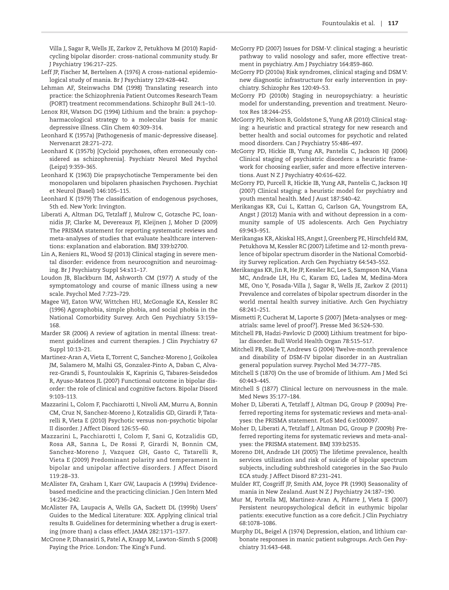Villa J, Sagar R, Wells JE, Zarkov Z, Petukhova M (2010) Rapidcycling bipolar disorder: cross-national community study. Br J Psychiatry 196:217–225.

- <span id="page-19-7"></span>Leff JP, Fischer M, Bertelsen A (1976) A cross-national epidemiological study of mania. Br J Psychiatry 129:428–442.
- <span id="page-19-33"></span>Lehman AF, Steinwachs DM (1998) Translating research into practice: the Schizophrenia Patient Outcomes Research Team (PORT) treatment recommendations. Schizophr Bull 24:1–10.
- <span id="page-19-6"></span>Lenox RH, Watson DG (1994) Lithium and the brain: a psychopharmacological strategy to a molecular basis for manic depressive illness. Clin Chem 40:309–314.
- <span id="page-19-0"></span>Leonhard K (1957a) [Pathogenesis of manic-depressive disease]. Nervenarzt 28:271–272.
- <span id="page-19-1"></span>Leonhard K (1957b) [Cycloid psychoses, often erroneously considered as schizophrenia]. Psychiatr Neurol Med Psychol (Leipz) 9:359–365.
- <span id="page-19-11"></span>Leonhard K (1963) Die prapsychotische Temperamente bei den monopolaren und bipolaren phasischen Psychosen. Psychiat et Neurol (Basel) 146:105–115.
- <span id="page-19-2"></span>Leonhard K (1979) The classification of endogenous psychoses, 5th ed. New York: Irvington.
- <span id="page-19-34"></span>Liberati A, Altman DG, Tetzlaff J, Mulrow C, Gotzsche PC, Ioannidis JP, Clarke M, Devereaux PJ, Kleijnen J, Moher D (2009) The PRISMA statement for reporting systematic reviews and meta-analyses of studies that evaluate healthcare interventions: explanation and elaboration. BMJ 339:b2700.
- <span id="page-19-27"></span>Lin A, Reniers RL, Wood SJ (2013) Clinical staging in severe mental disorder: evidence from neurocognition and neuroimaging. Br J Psychiatry Suppl 54:s11–17.
- <span id="page-19-8"></span>Loudon JB, Blackburn IM, Ashworth CM (1977) A study of the symptomatology and course of manic illness using a new scale. Psychol Med 7:723–729.
- <span id="page-19-18"></span>Magee WJ, Eaton WW, Wittchen HU, McGonagle KA, Kessler RC (1996) Agoraphobia, simple phobia, and social phobia in the National Comorbidity Survey. Arch Gen Psychiatry 53:159– 168.
- <span id="page-19-28"></span>Marder SR (2006) A review of agitation in mental illness: treatment guidelines and current therapies. J Clin Psychiatry 67 Suppl 10:13–21.
- <span id="page-19-14"></span>Martinez-Aran A, Vieta E, Torrent C, Sanchez-Moreno J, Goikolea JM, Salamero M, Malhi GS, Gonzalez-Pinto A, Daban C, Alvarez-Grandi S, Fountoulakis K, Kaprinis G, Tabares-Seisdedos R, Ayuso-Mateos JL (2007) Functional outcome in bipolar disorder: the role of clinical and cognitive factors. Bipolar Disord 9:103–113.
- <span id="page-19-10"></span>Mazzarini L, Colom F, Pacchiarotti I, Nivoli AM, Murru A, Bonnin CM, Cruz N, Sanchez-Moreno J, Kotzalidis GD, Girardi P, Tatarelli R, Vieta E (2010) Psychotic versus non-psychotic bipolar II disorder. J Affect Disord 126:55–60.
- <span id="page-19-12"></span>Mazzarini L, Pacchiarotti I, Colom F, Sani G, Kotzalidis GD, Rosa AR, Sanna L, De Rossi P, Girardi N, Bonnin CM, Sanchez-Moreno J, Vazquez GH, Gasto C, Tatarelli R, Vieta E (2009) Predominant polarity and temperament in bipolar and unipolar affective disorders. J Affect Disord 119:28–33.
- <span id="page-19-30"></span>McAlister FA, Graham I, Karr GW, Laupacis A (1999a) Evidencebased medicine and the practicing clinician. J Gen Intern Med 14:236–242.
- <span id="page-19-31"></span>McAlister FA, Laupacis A, Wells GA, Sackett DL (1999b) Users' Guides to the Medical Literature: XIX. Applying clinical trial results B. Guidelines for determining whether a drug is exerting (more than) a class effect. JAMA 282:1371–1377.
- <span id="page-19-29"></span>McCrone P, Dhanasiri S, Patel A, Knapp M, Lawton-Simth S (2008) Paying the Price. London: The King's Fund.
- <span id="page-19-22"></span>McGorry PD (2007) Issues for DSM-V: clinical staging: a heuristic pathway to valid nosology and safer, more effective treatment in psychiatry. Am J Psychiatry 164:859–860.
- McGorry PD (2010a) Risk syndromes, clinical staging and DSM V: new diagnostic infrastructure for early intervention in psychiatry. Schizophr Res 120:49–53.
- <span id="page-19-26"></span>McGorry PD (2010b) Staging in neuropsychiatry: a heuristic model for understanding, prevention and treatment. Neurotox Res 18:244–255.
- <span id="page-19-25"></span>McGorry PD, Nelson B, Goldstone S, Yung AR (2010) Clinical staging: a heuristic and practical strategy for new research and better health and social outcomes for psychotic and related mood disorders. Can J Psychiatry 55:486–497.
- <span id="page-19-23"></span>McGorry PD, Hickie IB, Yung AR, Pantelis C, Jackson HJ (2006) Clinical staging of psychiatric disorders: a heuristic framework for choosing earlier, safer and more effective interventions. Aust N Z J Psychiatry 40:616–622.
- <span id="page-19-24"></span>McGorry PD, Purcell R, Hickie IB, Yung AR, Pantelis C, Jackson HJ (2007) Clinical staging: a heuristic model for psychiatry and youth mental health. Med J Aust 187:S40–42.
- <span id="page-19-21"></span>Merikangas KR, Cui L, Kattan G, Carlson GA, Youngstrom EA, Angst J (2012) Mania with and without depression in a community sample of US adolescents. Arch Gen Psychiatry 69:943–951.
- <span id="page-19-16"></span>Merikangas KR, Akiskal HS, Angst J, Greenberg PE, Hirschfeld RM, Petukhova M, Kessler RC (2007) Lifetime and 12-month prevalence of bipolar spectrum disorder in the National Comorbidity Survey replication. Arch Gen Psychiatry 64:543–552.
- <span id="page-19-17"></span>Merikangas KR, Jin R, He JP, Kessler RC, Lee S, Sampson NA, Viana MC, Andrade LH, Hu C, Karam EG, Ladea M, Medina-Mora ME, Ono Y, Posada-Villa J, Sagar R, Wells JE, Zarkov Z (2011) Prevalence and correlates of bipolar spectrum disorder in the world mental health survey initiative. Arch Gen Psychiatry 68:241–251.
- <span id="page-19-32"></span>Mismetti P, Cucherat M, Laporte S (2007) [Meta-analyses or megatrials: same level of proof?]. Presse Med 36:524–530.
- <span id="page-19-5"></span>Mitchell PB, Hadzi-Pavlovic D (2000) Lithium treatment for bipolar disorder. Bull World Health Organ 78:515–517.
- <span id="page-19-19"></span>Mitchell PB, Slade T, Andrews G (2004) Twelve-month prevalence and disability of DSM-IV bipolar disorder in an Australian general population survey. Psychol Med 34:777–785.
- <span id="page-19-3"></span>Mitchell S (1870) On the use of bromide of lithium. Am J Med Sci 60:443–445.
- <span id="page-19-4"></span>Mitchell S (1877) Clinical lecture on nervousness in the male. Med News 35:177–184.
- <span id="page-19-35"></span>Moher D, Liberati A, Tetzlaff J, Altman DG, Group P (2009a) Preferred reporting items for systematic reviews and meta-analyses: the PRISMA statement. PLoS Med 6:e1000097.
- <span id="page-19-36"></span>Moher D, Liberati A, Tetzlaff J, Altman DG, Group P (2009b) Preferred reporting items for systematic reviews and meta-analyses: the PRISMA statement. BMJ 339:b2535.
- <span id="page-19-20"></span>Moreno DH, Andrade LH (2005) The lifetime prevalence, health services utilization and risk of suicide of bipolar spectrum subjects, including subthreshold categories in the Sao Paulo ECA study. J Affect Disord 87:231–241.
- <span id="page-19-13"></span>Mulder RT, Cosgriff JP, Smith AM, Joyce PR (1990) Seasonality of mania in New Zealand. Aust N Z J Psychiatry 24:187–190.
- <span id="page-19-15"></span>Mur M, Portella MJ, Martinez-Aran A, Pifarre J, Vieta E (2007) Persistent neuropsychological deficit in euthymic bipolar patients: executive function as a core deficit. J Clin Psychiatry 68:1078–1086.
- <span id="page-19-9"></span>Murphy DL, Beigel A (1974) Depression, elation, and lithium carbonate responses in manic patient subgroups. Arch Gen Psychiatry 31:643–648.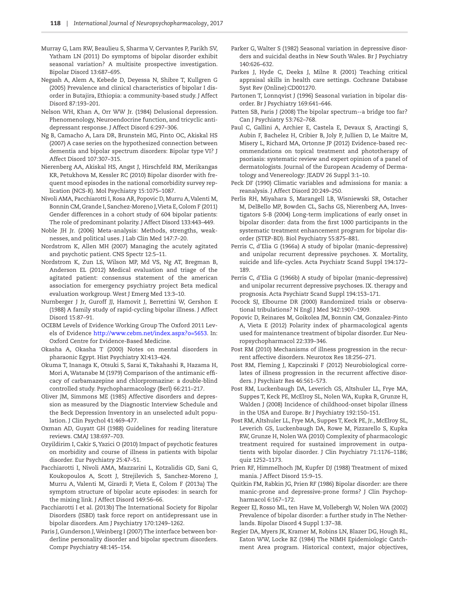- <span id="page-20-13"></span>Murray G, Lam RW, Beaulieu S, Sharma V, Cervantes P, Parikh SV, Yatham LN (2011) Do symptoms of bipolar disorder exhibit seasonal variation? A multisite prospective investigation. Bipolar Disord 13:687–695.
- <span id="page-20-21"></span>Negash A, Alem A, Kebede D, Deyessa N, Shibre T, Kullgren G (2005) Prevalence and clinical characteristics of bipolar I disorder in Butajira, Ethiopia: a community-based study. J Affect Disord 87:193–201.
- <span id="page-20-2"></span>Nelson WH, Khan A, Orr WW Jr. (1984) Delusional depression. Phenomenology, Neuroendocrine function, and tricyclic antidepressant response. J Affect Disord 6:297–306.
- <span id="page-20-17"></span>Ng B, Camacho A, Lara DR, Brunstein MG, Pinto OC, Akiskal HS (2007) A case series on the hypothesized connection between dementia and bipolar spectrum disorders: Bipolar type VI? J Affect Disord 107:307–315.
- <span id="page-20-19"></span>Nierenberg AA, Akiskal HS, Angst J, Hirschfeld RM, Merikangas KR, Petukhova M, Kessler RC (2010) Bipolar disorder with frequent mood episodes in the national comorbidity survey replication (NCS-R). Mol Psychiatry 15:1075–1087.
- <span id="page-20-8"></span>Nivoli AMA, Pacchiarotti I, Rosa AR, Popovic D, Murru A, Valenti M, Bonnin CM, Grande I, Sanchez-Moreno J, Vieta E, Colom F (2011) Gender differences in a cohort study of 604 bipolar patients: The role of predominant polarity. J Affect Disord 133:443–449.
- <span id="page-20-33"></span>Noble JH Jr. (2006) Meta-analysis: Methods, strengths, weaknesses, and political uses. J Lab Clin Med 147:7–20.
- <span id="page-20-30"></span>Nordstrom K, Allen MH (2007) Managing the acutely agitated and psychotic patient. CNS Spectr 12:5–11.
- <span id="page-20-31"></span>Nordstrom K, Zun LS, Wilson MP, Md VS, Ng AT, Bregman B, Anderson EL (2012) Medical evaluation and triage of the agitated patient: consensus statement of the american association for emergency psychiatry project Beta medical evaluation workgroup. West J Emerg Med 13:3–10.
- <span id="page-20-14"></span>Nurnberger J Jr, Guroff JJ, Hamovit J, Berrettini W, Gershon E (1988) A family study of rapid-cycling bipolar illness. J Affect Disord 15:87–91.
- OCEBM Levels of Evidence Working Group The Oxford 2011 Levels of Evidence [http://www.cebm.net/index.aspx?o=5653.](http://www.cebm.net/index.aspx?o=5653) In: Oxford Centre for Evidence-Based Medicine.
- <span id="page-20-0"></span>Okasha A, Okasha T (2000) Notes on mental disorders in pharaonic Egypt. Hist Psychiatry XI:413–424.
- <span id="page-20-1"></span>Okuma T, Inanaga K, Otsuki S, Sarai K, Takahashi R, Hazama H, Mori A, Watanabe M (1979) Comparison of the antimanic efficacy of carbamazepine and chlorpromazine: a double-blind controlled study. Psychopharmacology (Berl) 66:211–217.
- <span id="page-20-22"></span>Oliver JM, Simmons ME (1985) Affective disorders and depression as measured by the Diagnostic Interview Schedule and the Beck Depression Inventory in an unselected adult population. J Clin Psychol 41:469–477.
- <span id="page-20-36"></span>Oxman AD, Guyatt GH (1988) Guidelines for reading literature reviews. CMAJ 138:697–703.
- <span id="page-20-4"></span>Ozyildirim I, Cakir S, Yazici O (2010) Impact of psychotic features on morbidity and course of illness in patients with bipolar disorder. Eur Psychiatry 25:47–51.
- <span id="page-20-9"></span>Pacchiarotti I, Nivoli AMA, Mazzarini L, Kotzalidis GD, Sani G, Koukopoulos A, Scott J, Strejilevich S, Sanchez-Moreno J, Murru A, Valenti M, Girardi P, Vieta E, Colom F (2013a) The symptom structure of bipolar acute episodes: in search for the mixing link. J Affect Disord 149:56–66.
- <span id="page-20-28"></span>Pacchiarotti I et al. (2013b) The International Society for Bipolar Disorders (ISBD) task force report on antidepressant use in bipolar disorders. Am J Psychiatry 170:1249–1262.
- <span id="page-20-15"></span>Paris J, Gunderson J, Weinberg I (2007) The interface between borderline personality disorder and bipolar spectrum disorders. Compr Psychiatry 48:145–154.
- <span id="page-20-10"></span>Parker G, Walter S (1982) Seasonal variation in depressive disorders and suicidal deaths in New South Wales. Br J Psychiatry 140:626–632.
- <span id="page-20-34"></span>Parkes J, Hyde C, Deeks J, Milne R (2001) Teaching critical appraisal skills in health care settings. Cochrane Database Syst Rev (Online):CD001270.
- <span id="page-20-12"></span>Partonen T, Lonnqvist J (1996) Seasonal variation in bipolar disorder. Br J Psychiatry 169:641–646.
- <span id="page-20-16"></span>Patten SB, Paris J (2008) The bipolar spectrum--a bridge too far? Can J Psychiatry 53:762–768.
- <span id="page-20-35"></span>Paul C, Gallini A, Archier E, Castela E, Devaux S, Aractingi S, Aubin F, Bachelez H, Cribier B, Joly P, Jullien D, Le Maitre M, Misery L, Richard MA, Ortonne JP (2012) Evidence-based recommendations on topical treatment and phototherapy of psoriasis: systematic review and expert opinion of a panel of dermatologists. Journal of the European Academy of Dermatology and Venereology: JEADV 26 Suppl 3:1–10.
- <span id="page-20-11"></span>Peck DF (1990) Climatic variables and admissions for mania: a reanalysis. J Affect Disord 20:249–250.
- <span id="page-20-23"></span>Perlis RH, Miyahara S, Marangell LB, Wisniewski SR, Ostacher M, DelBello MP, Bowden CL, Sachs GS, Nierenberg AA, Investigators S-B (2004) Long-term implications of early onset in bipolar disorder: data from the first 1000 participants in the systematic treatment enhancement program for bipolar disorder (STEP-BD). Biol Psychiatry 55:875–881.
- <span id="page-20-5"></span>Perris C, d'Elia G (1966a) A study of bipolar (manic-depressive) and unipolar recurrent depressive psychoses. X. Mortality, suicide and life-cycles. Acta Psychiatr Scand Suppl 194:172– 189.
- <span id="page-20-6"></span>Perris C, d'Elia G (1966b) A study of bipolar (manic-depressive) and unipolar recurrent depressive psychoses. IX. therapy and prognosis. Acta Psychiatr Scand Suppl 194:153–171.
- <span id="page-20-32"></span>Pocock SJ, Elbourne DR (2000) Randomized trials or observational tribulations? N Engl J Med 342:1907–1909.
- <span id="page-20-29"></span>Popovic D, Reinares M, Goikolea JM, Bonnin CM, Gonzalez-Pinto A, Vieta E (2012) Polarity index of pharmacological agents used for maintenance treatment of bipolar disorder. Eur Neuropsychopharmacol 22:339–346.
- <span id="page-20-26"></span>Post RM (2010) Mechanisms of illness progression in the recurrent affective disorders. Neurotox Res 18:256–271.
- <span id="page-20-27"></span>Post RM, Fleming J, Kapczinski F (2012) Neurobiological correlates of illness progression in the recurrent affective disorders. J Psychiatr Res 46:561–573.
- <span id="page-20-24"></span>Post RM, Luckenbaugh DA, Leverich GS, Altshuler LL, Frye MA, Suppes T, Keck PE, McElroy SL, Nolen WA, Kupka R, Grunze H, Walden J (2008) Incidence of childhood-onset bipolar illness in the USA and Europe. Br J Psychiatry 192:150–151.
- <span id="page-20-25"></span>Post RM, Altshuler LL, Frye MA, Suppes T, Keck PE, Jr., McElroy SL, Leverich GS, Luckenbaugh DA, Rowe M, Pizzarello S, Kupka RW, Grunze H, Nolen WA (2010) Complexity of pharmacologic treatment required for sustained improvement in outpatients with bipolar disorder. J Clin Psychiatry 71:1176–1186; quiz 1252–1173.
- <span id="page-20-3"></span>Prien RF, Himmelhoch JM, Kupfer DJ (1988) Treatment of mixed mania. J Affect Disord 15:9–15.
- <span id="page-20-7"></span>Quitkin FM, Rabkin JG, Prien RF (1986) Bipolar disorder: are there manic-prone and depressive-prone forms? J Clin Psychopharmacol 6:167–172.
- <span id="page-20-20"></span>Regeer EJ, Rosso ML, ten Have M, Vollebergh W, Nolen WA (2002) Prevalence of bipolar disorder: a further study in The Netherlands. Bipolar Disord 4 Suppl 1:37–38.
- <span id="page-20-18"></span>Regier DA, Myers JK, Kramer M, Robins LN, Blazer DG, Hough RL, Eaton WW, Locke BZ (1984) The NIMH Epidemiologic Catchment Area program. Historical context, major objectives,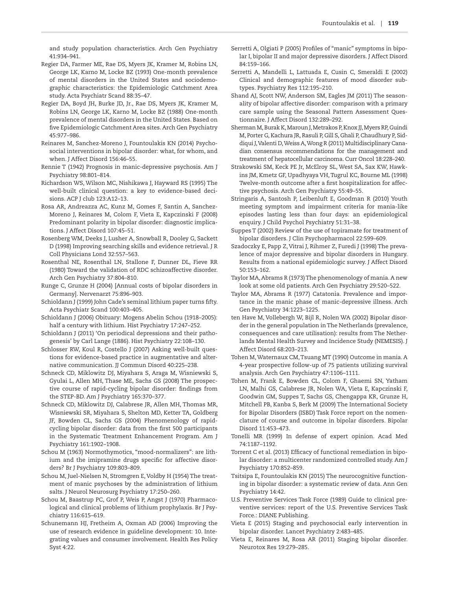and study population characteristics. Arch Gen Psychiatry 41:934–941.

- <span id="page-21-18"></span>Regier DA, Farmer ME, Rae DS, Myers JK, Kramer M, Robins LN, George LK, Karno M, Locke BZ (1993) One-month prevalence of mental disorders in the United States and sociodemographic characteristics: the Epidemiologic Catchment Area study. Acta Psychiatr Scand 88:35–47.
- <span id="page-21-17"></span>Regier DA, Boyd JH, Burke JD, Jr., Rae DS, Myers JK, Kramer M, Robins LN, George LK, Karno M, Locke BZ (1988) One-month prevalence of mental disorders in the United States. Based on five Epidemiologic Catchment Area sites. Arch Gen Psychiatry 45:977–986.
- <span id="page-21-24"></span>Reinares M, Sanchez-Moreno J, Fountoulakis KN (2014) Psychosocial interventions in bipolar disorder: what, for whom, and when. J Affect Disord 156:46–55.
- <span id="page-21-9"></span>Rennie T (1942) Prognosis in manic-depressive psychosis. Am J Psychiatry 98:801–814.
- <span id="page-21-27"></span>Richardson WS, Wilson MC, Nishikawa J, Hayward RS (1995) The well-built clinical question: a key to evidence-based decisions. ACP J club 123:A12–13.
- <span id="page-21-11"></span>Rosa AR, Andreazza AC, Kunz M, Gomes F, Santin A, Sanchez-Moreno J, Reinares M, Colom F, Vieta E, Kapczinski F (2008) Predominant polarity in bipolar disorder: diagnostic implications. J Affect Disord 107:45–51.
- <span id="page-21-29"></span>Rosenberg WM, Deeks J, Lusher A, Snowball R, Dooley G, Sackett D (1998) Improving searching skills and evidence retrieval. J R Coll Physicians Lond 32:557–563.
- <span id="page-21-5"></span>Rosenthal NE, Rosenthal LN, Stallone F, Dunner DL, Fieve RR (1980) Toward the validation of RDC schizoaffective disorder. Arch Gen Psychiatry 37:804–810.
- <span id="page-21-25"></span>Runge C, Grunze H (2004) [Annual costs of bipolar disorders in Germany]. Nervenarzt 75:896–903.
- <span id="page-21-1"></span>Schioldann J (1999) John Cade's seminal lithium paper turns fifty. Acta Psychiatr Scand 100:403–405.
- <span id="page-21-2"></span>Schioldann J (2006) Obituary: Mogens Abelin Schou (1918–2005): half a century with lithium. Hist Psychiatry 17:247–252.
- <span id="page-21-3"></span>Schioldann J (2011) 'On periodical depressions and their pathogenesis' by Carl Lange (1886). Hist Psychiatry 22:108–130.
- <span id="page-21-28"></span>Schlosser RW, Koul R, Costello J (2007) Asking well-built questions for evidence-based practice in augmentative and alternative communication. JJ Commun Disord 40:225–238.
- <span id="page-21-15"></span>Schneck CD, Miklowitz DJ, Miyahara S, Araga M, Wisniewski S, Gyulai L, Allen MH, Thase ME, Sachs GS (2008) The prospective course of rapid-cycling bipolar disorder: findings from the STEP-BD. Am J Psychiatry 165:370–377.
- <span id="page-21-14"></span>Schneck CD, Miklowitz DJ, Calabrese JR, Allen MH, Thomas MR, Wisniewski SR, Miyahara S, Shelton MD, Ketter TA, Goldberg JF, Bowden CL, Sachs GS (2004) Phenomenology of rapidcycling bipolar disorder: data from the first 500 participants in the Systematic Treatment Enhancement Program. Am J Psychiatry 161:1902–1908.
- <span id="page-21-23"></span>Schou M (1963) Normothymotics, "mood-normalizers": are lithium and the imipramine drugs specific for affective disorders? Br J Psychiatry 109:803–809.
- <span id="page-21-0"></span>Schou M, Juel-Nielsen N, Stromgren E, Voldby H (1954) The treatment of manic psychoses by the administration of lithium salts. J Neurol Neurosurg Psychiatry 17:250–260.
- Schou M, Baastrup PC, Grof P, Weis P, Angst J (1970) Pharmacological and clinical problems of lithium prophylaxis. Br J Psychiatry 116:615–619.
- <span id="page-21-33"></span>Schunemann HJ, Fretheim A, Oxman AD (2006) Improving the use of research evidence in guideline development: 10. Integrating values and consumer involvement. Health Res Policy Syst 4:22.
- <span id="page-21-8"></span>Serretti A, Olgiati P (2005) Profiles of "manic" symptoms in bipolar I, bipolar II and major depressive disorders. J Affect Disord 84:159–166.
- <span id="page-21-10"></span>Serretti A, Mandelli L, Lattuada E, Cusin C, Smeraldi E (2002) Clinical and demographic features of mood disorder subtypes. Psychiatry Res 112:195–210.
- <span id="page-21-13"></span>Shand AJ, Scott NW, Anderson SM, Eagles JM (2011) The seasonality of bipolar affective disorder: comparison with a primary care sample using the Seasonal Pattern Assessment Questionnaire. J Affect Disord 132:289–292.
- <span id="page-21-32"></span>Sherman M, Burak K, Maroun J, Metrakos P, Knox JJ, Myers RP, Guindi M, Porter G, Kachura JR, Rasuli P, Gill S, Ghali P, Chaudhury P, Siddiqui J, Valenti D, Weiss A, Wong R (2011) Multidisciplinary Canadian consensus recommendations for the management and treatment of hepatocellular carcinoma. Curr Oncol 18:228–240.
- Strakowski SM, Keck PE Jr, McElroy SL, West SA, Sax KW, Hawkins JM, Kmetz GF, Upadhyaya VH, Tugrul KC, Bourne ML (1998) Twelve-month outcome after a first hospitalization for affective psychosis. Arch Gen Psychiatry 55:49–55.
- <span id="page-21-20"></span>Stringaris A, Santosh P, Leibenluft E, Goodman R (2010) Youth meeting symptom and impairment criteria for mania-like episodes lasting less than four days: an epidemiological enquiry. J Child Psychol Psychiatry 51:31–38.
- <span id="page-21-26"></span>Suppes T (2002) Review of the use of topiramate for treatment of bipolar disorders. J Clin Psychopharmacol 22:599–609.
- <span id="page-21-19"></span>Szadoczky E, Papp Z, Vitrai J, Rihmer Z, Furedi J (1998) The prevalence of major depressive and bipolar disorders in Hungary. Results from a national epidemiologic survey. J Affect Disord 50:153–162.
- <span id="page-21-6"></span>Taylor MA, Abrams R (1973) The phenomenology of mania. A new look at some old patients. Arch Gen Psychiatry 29:520–522.
- <span id="page-21-7"></span>Taylor MA, Abrams R (1977) Catatonia. Prevalence and importance in the manic phase of manic-depressive illness. Arch Gen Psychiatry 34:1223–1225.
- ten Have M, Vollebergh W, Bijl R, Nolen WA (2002) Bipolar disorder in the general population in The Netherlands (prevalence, consequences and care utilisation): results from The Netherlands Mental Health Survey and Incidence Study (NEMESIS). J Affect Disord 68:203–213.
- <span id="page-21-4"></span>Tohen M, Waternaux CM, Tsuang MT (1990) Outcome in mania. A 4-year prospective follow-up of 75 patients utilizing survival analysis. Arch Gen Psychiatry 47:1106–1111.
- <span id="page-21-12"></span>Tohen M, Frank E, Bowden CL, Colom F, Ghaemi SN, Yatham LN, Malhi GS, Calabrese JR, Nolen WA, Vieta E, Kapczinski F, Goodwin GM, Suppes T, Sachs GS, Chengappa KR, Grunze H, Mitchell PB, Kanba S, Berk M (2009) The International Society for Bipolar Disorders (ISBD) Task Force report on the nomenclature of course and outcome in bipolar disorders. Bipolar Disord 11:453–473.
- <span id="page-21-30"></span>Tonelli MR (1999) In defense of expert opinion. Acad Med 74:1187–1192.
- <span id="page-21-21"></span>Torrent C et al. (2013) Efficacy of functional remediation in bipolar disorder: a multicenter randomized controlled study. Am J Psychiatry 170:852–859.
- <span id="page-21-16"></span>Tsitsipa E, Fountoulakis KN (2015) The neurocognitive functioning in bipolar disorder: a systematic review of data. Ann Gen Psychiatry 14:42.
- <span id="page-21-31"></span>U.S. Preventive Services Task Force (1989) Guide to clinical preventive services: report of the U.S. Preventive Services Task Force.: DIANE Publishing.
- <span id="page-21-22"></span>Vieta E (2015) Staging and psychosocial early intervention in bipolar disorder. Lancet Psychiatry 2:483–485.
- Vieta E, Reinares M, Rosa AR (2011) Staging bipolar disorder. Neurotox Res 19:279–285.